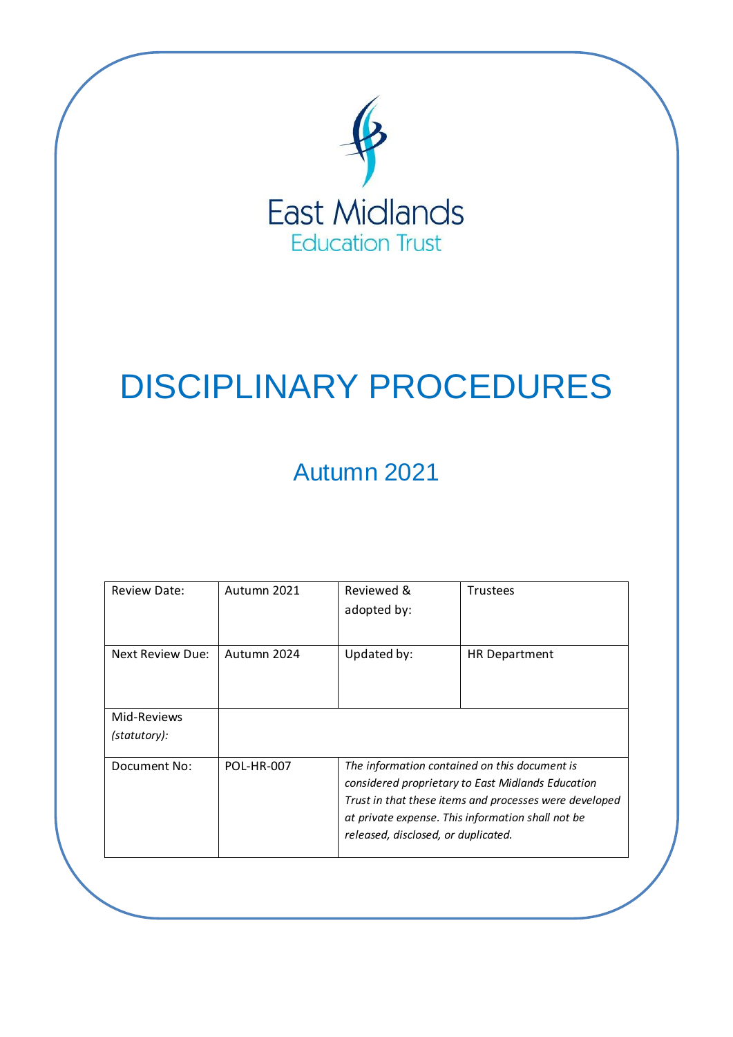

# DISCIPLINARY PROCEDURES

## Autumn 2021

| <b>Review Date:</b> | Autumn 2021       | Reviewed &<br>adopted by:                         | <b>Trustees</b>                                        |  |  |
|---------------------|-------------------|---------------------------------------------------|--------------------------------------------------------|--|--|
| Next Review Due:    | Autumn 2024       | Updated by:                                       | <b>HR Department</b>                                   |  |  |
| Mid-Reviews         |                   |                                                   |                                                        |  |  |
| (statutory):        |                   |                                                   |                                                        |  |  |
| Document No:        | <b>POL-HR-007</b> |                                                   | The information contained on this document is          |  |  |
|                     |                   | considered proprietary to East Midlands Education |                                                        |  |  |
|                     |                   |                                                   | Trust in that these items and processes were developed |  |  |
|                     |                   |                                                   | at private expense. This information shall not be      |  |  |
|                     |                   | released, disclosed, or duplicated.               |                                                        |  |  |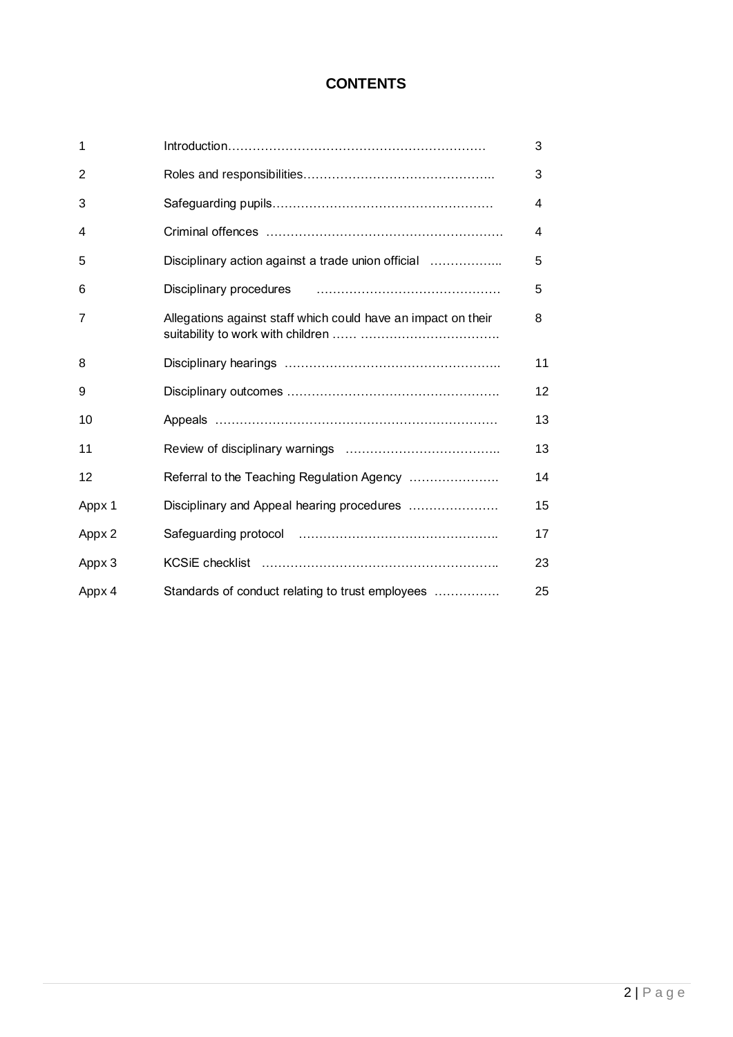## **CONTENTS**

| 1      |                                                                                                                        | 3  |
|--------|------------------------------------------------------------------------------------------------------------------------|----|
| 2      |                                                                                                                        | 3  |
| 3      |                                                                                                                        | 4  |
| 4      |                                                                                                                        | 4  |
| 5      | Disciplinary action against a trade union official                                                                     | 5  |
| 6      | Disciplinary procedures <b>contained a material container and procedures</b> and container and container and container | 5  |
| 7      | Allegations against staff which could have an impact on their                                                          | 8  |
| 8      |                                                                                                                        | 11 |
| 9      |                                                                                                                        | 12 |
| 10     |                                                                                                                        | 13 |
| 11     |                                                                                                                        | 13 |
| 12     | Referral to the Teaching Regulation Agency                                                                             | 14 |
| Appx 1 | Disciplinary and Appeal hearing procedures                                                                             | 15 |
| Appx 2 |                                                                                                                        | 17 |
| Appx 3 |                                                                                                                        | 23 |
| Appx 4 | Standards of conduct relating to trust employees                                                                       | 25 |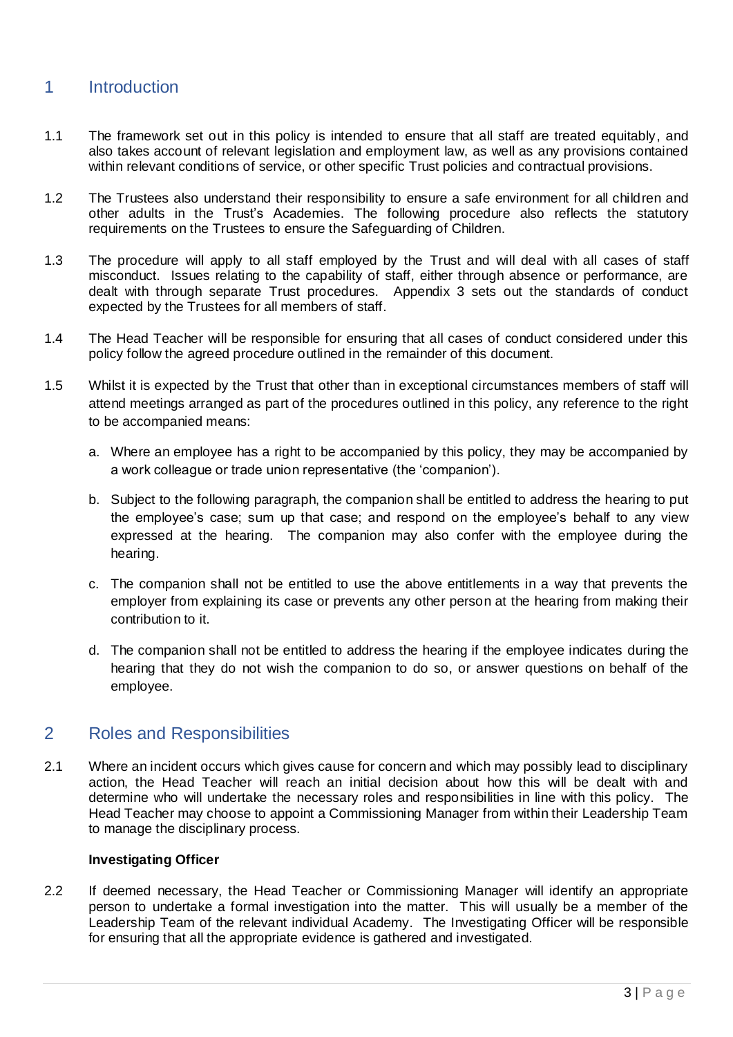## 1 Introduction

- 1.1 The framework set out in this policy is intended to ensure that all staff are treated equitably, and also takes account of relevant legislation and employment law, as well as any provisions contained within relevant conditions of service, or other specific Trust policies and contractual provisions.
- 1.2 The Trustees also understand their responsibility to ensure a safe environment for all children and other adults in the Trust's Academies. The following procedure also reflects the statutory requirements on the Trustees to ensure the Safeguarding of Children.
- 1.3 The procedure will apply to all staff employed by the Trust and will deal with all cases of staff misconduct. Issues relating to the capability of staff, either through absence or performance, are dealt with through separate Trust procedures. Appendix 3 sets out the standards of conduct expected by the Trustees for all members of staff.
- 1.4 The Head Teacher will be responsible for ensuring that all cases of conduct considered under this policy follow the agreed procedure outlined in the remainder of this document.
- 1.5 Whilst it is expected by the Trust that other than in exceptional circumstances members of staff will attend meetings arranged as part of the procedures outlined in this policy, any reference to the right to be accompanied means:
	- a. Where an employee has a right to be accompanied by this policy, they may be accompanied by a work colleague or trade union representative (the 'companion').
	- b. Subject to the following paragraph, the companion shall be entitled to address the hearing to put the employee's case; sum up that case; and respond on the employee's behalf to any view expressed at the hearing. The companion may also confer with the employee during the hearing.
	- c. The companion shall not be entitled to use the above entitlements in a way that prevents the employer from explaining its case or prevents any other person at the hearing from making their contribution to it.
	- d. The companion shall not be entitled to address the hearing if the employee indicates during the hearing that they do not wish the companion to do so, or answer questions on behalf of the employee.

## 2 Roles and Responsibilities

2.1 Where an incident occurs which gives cause for concern and which may possibly lead to disciplinary action, the Head Teacher will reach an initial decision about how this will be dealt with and determine who will undertake the necessary roles and responsibilities in line with this policy. The Head Teacher may choose to appoint a Commissioning Manager from within their Leadership Team to manage the disciplinary process.

## **Investigating Officer**

2.2 If deemed necessary, the Head Teacher or Commissioning Manager will identify an appropriate person to undertake a formal investigation into the matter. This will usually be a member of the Leadership Team of the relevant individual Academy. The Investigating Officer will be responsible for ensuring that all the appropriate evidence is gathered and investigated.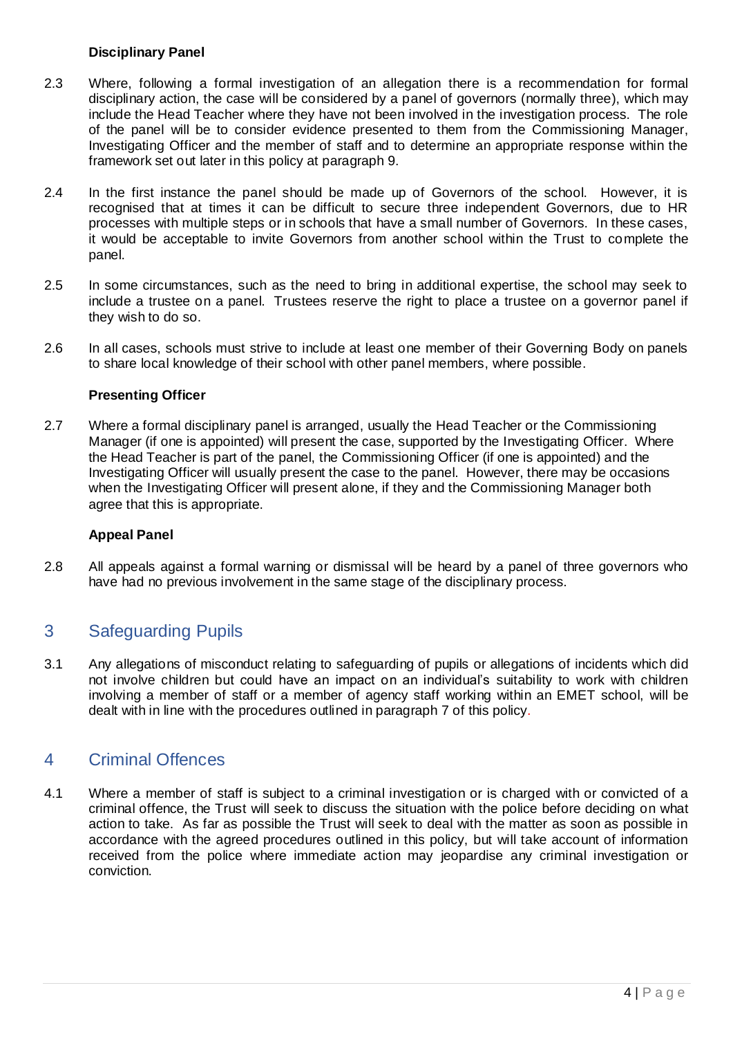## **Disciplinary Panel**

- 2.3 Where, following a formal investigation of an allegation there is a recommendation for formal disciplinary action, the case will be considered by a panel of governors (normally three), which may include the Head Teacher where they have not been involved in the investigation process. The role of the panel will be to consider evidence presented to them from the Commissioning Manager, Investigating Officer and the member of staff and to determine an appropriate response within the framework set out later in this policy at paragraph 9.
- 2.4 In the first instance the panel should be made up of Governors of the school. However, it is recognised that at times it can be difficult to secure three independent Governors, due to HR processes with multiple steps or in schools that have a small number of Governors. In these cases, it would be acceptable to invite Governors from another school within the Trust to complete the panel.
- 2.5 In some circumstances, such as the need to bring in additional expertise, the school may seek to include a trustee on a panel. Trustees reserve the right to place a trustee on a governor panel if they wish to do so.
- 2.6 In all cases, schools must strive to include at least one member of their Governing Body on panels to share local knowledge of their school with other panel members, where possible.

## **Presenting Officer**

2.7 Where a formal disciplinary panel is arranged, usually the Head Teacher or the Commissioning Manager (if one is appointed) will present the case, supported by the Investigating Officer. Where the Head Teacher is part of the panel, the Commissioning Officer (if one is appointed) and the Investigating Officer will usually present the case to the panel. However, there may be occasions when the Investigating Officer will present alone, if they and the Commissioning Manager both agree that this is appropriate.

## **Appeal Panel**

2.8 All appeals against a formal warning or dismissal will be heard by a panel of three governors who have had no previous involvement in the same stage of the disciplinary process.

## 3 Safeguarding Pupils

3.1 Any allegations of misconduct relating to safeguarding of pupils or allegations of incidents which did not involve children but could have an impact on an individual's suitability to work with children involving a member of staff or a member of agency staff working within an EMET school, will be dealt with in line with the procedures outlined in paragraph 7 of this policy.

## 4 Criminal Offences

4.1 Where a member of staff is subject to a criminal investigation or is charged with or convicted of a criminal offence, the Trust will seek to discuss the situation with the police before deciding on what action to take. As far as possible the Trust will seek to deal with the matter as soon as possible in accordance with the agreed procedures outlined in this policy, but will take account of information received from the police where immediate action may jeopardise any criminal investigation or conviction.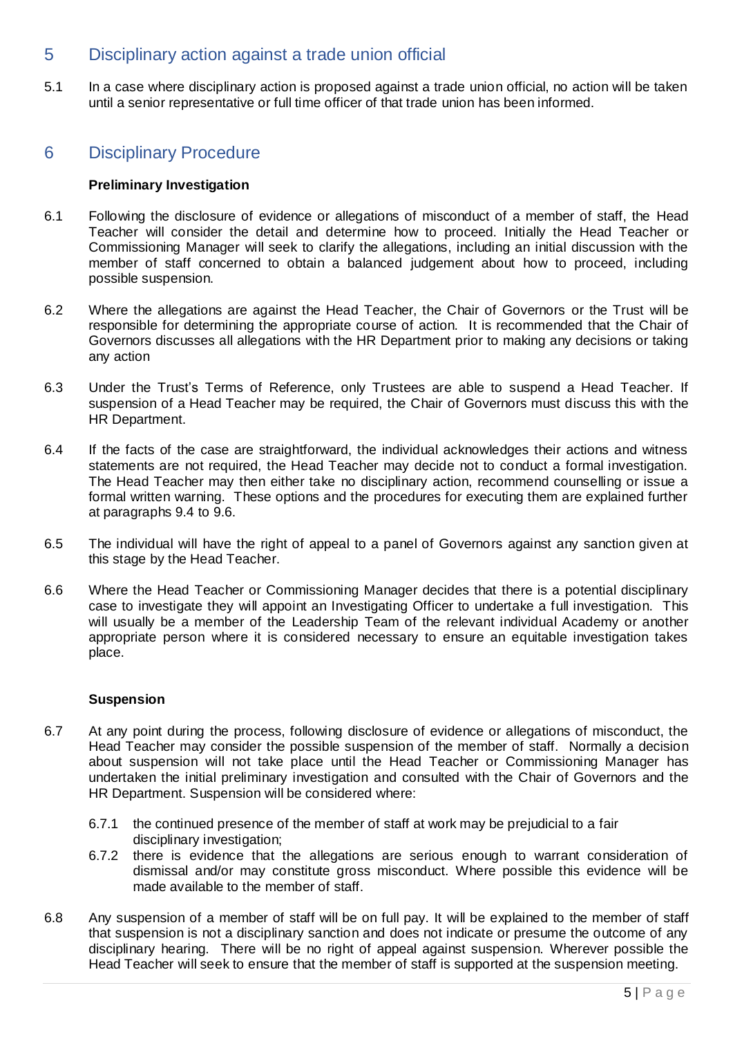## 5 Disciplinary action against a trade union official

5.1 In a case where disciplinary action is proposed against a trade union official, no action will be taken until a senior representative or full time officer of that trade union has been informed.

## 6 Disciplinary Procedure

## **Preliminary Investigation**

- 6.1 Following the disclosure of evidence or allegations of misconduct of a member of staff, the Head Teacher will consider the detail and determine how to proceed. Initially the Head Teacher or Commissioning Manager will seek to clarify the allegations, including an initial discussion with the member of staff concerned to obtain a balanced judgement about how to proceed, including possible suspension.
- 6.2 Where the allegations are against the Head Teacher, the Chair of Governors or the Trust will be responsible for determining the appropriate course of action. It is recommended that the Chair of Governors discusses all allegations with the HR Department prior to making any decisions or taking any action
- 6.3 Under the Trust's Terms of Reference, only Trustees are able to suspend a Head Teacher. If suspension of a Head Teacher may be required, the Chair of Governors must discuss this with the HR Department.
- 6.4 If the facts of the case are straightforward, the individual acknowledges their actions and witness statements are not required, the Head Teacher may decide not to conduct a formal investigation. The Head Teacher may then either take no disciplinary action, recommend counselling or issue a formal written warning. These options and the procedures for executing them are explained further at paragraphs 9.4 to 9.6.
- 6.5 The individual will have the right of appeal to a panel of Governors against any sanction given at this stage by the Head Teacher.
- 6.6 Where the Head Teacher or Commissioning Manager decides that there is a potential disciplinary case to investigate they will appoint an Investigating Officer to undertake a full investigation. This will usually be a member of the Leadership Team of the relevant individual Academy or another appropriate person where it is considered necessary to ensure an equitable investigation takes place.

## **Suspension**

- 6.7 At any point during the process, following disclosure of evidence or allegations of misconduct, the Head Teacher may consider the possible suspension of the member of staff. Normally a decision about suspension will not take place until the Head Teacher or Commissioning Manager has undertaken the initial preliminary investigation and consulted with the Chair of Governors and the HR Department. Suspension will be considered where:
	- 6.7.1 the continued presence of the member of staff at work may be prejudicial to a fair disciplinary investigation:
	- 6.7.2 there is evidence that the allegations are serious enough to warrant consideration of dismissal and/or may constitute gross misconduct. Where possible this evidence will be made available to the member of staff.
- 6.8 Any suspension of a member of staff will be on full pay. It will be explained to the member of staff that suspension is not a disciplinary sanction and does not indicate or presume the outcome of any disciplinary hearing. There will be no right of appeal against suspension. Wherever possible the Head Teacher will seek to ensure that the member of staff is supported at the suspension meeting.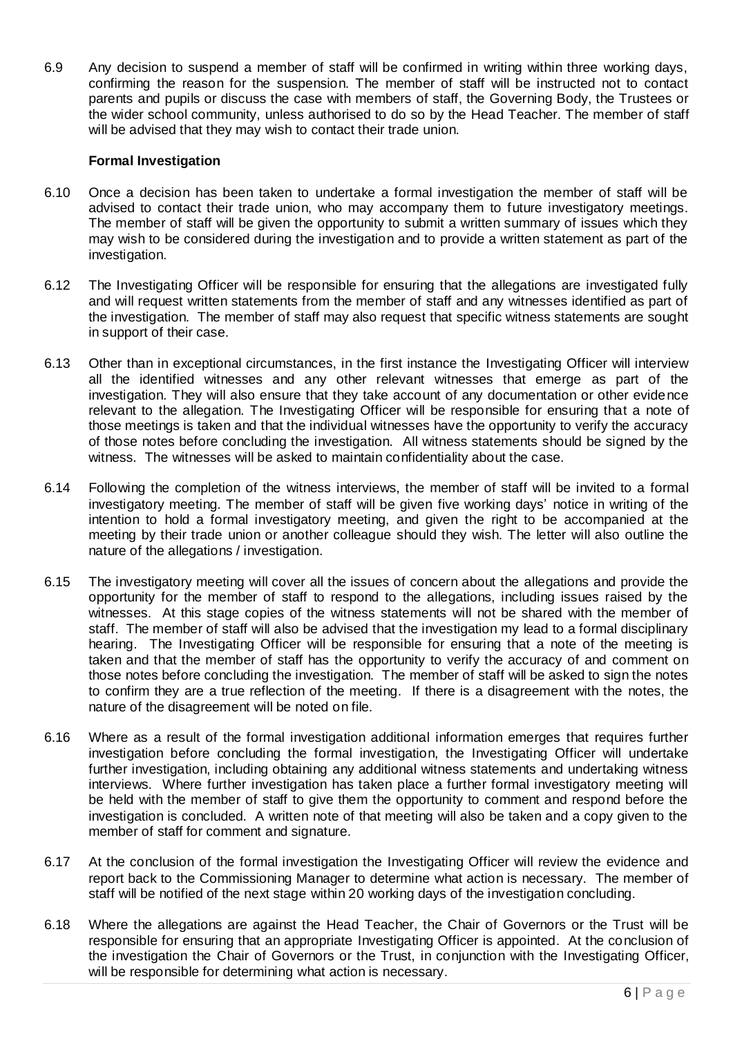6.9 Any decision to suspend a member of staff will be confirmed in writing within three working days, confirming the reason for the suspension. The member of staff will be instructed not to contact parents and pupils or discuss the case with members of staff, the Governing Body, the Trustees or the wider school community, unless authorised to do so by the Head Teacher. The member of staff will be advised that they may wish to contact their trade union.

#### **Formal Investigation**

- 6.10 Once a decision has been taken to undertake a formal investigation the member of staff will be advised to contact their trade union, who may accompany them to future investigatory meetings. The member of staff will be given the opportunity to submit a written summary of issues which they may wish to be considered during the investigation and to provide a written statement as part of the investigation.
- 6.12 The Investigating Officer will be responsible for ensuring that the allegations are investigated fully and will request written statements from the member of staff and any witnesses identified as part of the investigation. The member of staff may also request that specific witness statements are sought in support of their case.
- 6.13 Other than in exceptional circumstances, in the first instance the Investigating Officer will interview all the identified witnesses and any other relevant witnesses that emerge as part of the investigation. They will also ensure that they take account of any documentation or other evidence relevant to the allegation. The Investigating Officer will be responsible for ensuring that a note of those meetings is taken and that the individual witnesses have the opportunity to verify the accuracy of those notes before concluding the investigation. All witness statements should be signed by the witness. The witnesses will be asked to maintain confidentiality about the case.
- 6.14 Following the completion of the witness interviews, the member of staff will be invited to a formal investigatory meeting. The member of staff will be given five working days' notice in writing of the intention to hold a formal investigatory meeting, and given the right to be accompanied at the meeting by their trade union or another colleague should they wish. The letter will also outline the nature of the allegations / investigation.
- 6.15 The investigatory meeting will cover all the issues of concern about the allegations and provide the opportunity for the member of staff to respond to the allegations, including issues raised by the witnesses. At this stage copies of the witness statements will not be shared with the member of staff. The member of staff will also be advised that the investigation my lead to a formal disciplinary hearing. The Investigating Officer will be responsible for ensuring that a note of the meeting is taken and that the member of staff has the opportunity to verify the accuracy of and comment on those notes before concluding the investigation. The member of staff will be asked to sign the notes to confirm they are a true reflection of the meeting. If there is a disagreement with the notes, the nature of the disagreement will be noted on file.
- 6.16 Where as a result of the formal investigation additional information emerges that requires further investigation before concluding the formal investigation, the Investigating Officer will undertake further investigation, including obtaining any additional witness statements and undertaking witness interviews. Where further investigation has taken place a further formal investigatory meeting will be held with the member of staff to give them the opportunity to comment and respond before the investigation is concluded. A written note of that meeting will also be taken and a copy given to the member of staff for comment and signature.
- 6.17 At the conclusion of the formal investigation the Investigating Officer will review the evidence and report back to the Commissioning Manager to determine what action is necessary. The member of staff will be notified of the next stage within 20 working days of the investigation concluding.
- 6.18 Where the allegations are against the Head Teacher, the Chair of Governors or the Trust will be responsible for ensuring that an appropriate Investigating Officer is appointed. At the conclusion of the investigation the Chair of Governors or the Trust, in conjunction with the Investigating Officer, will be responsible for determining what action is necessary.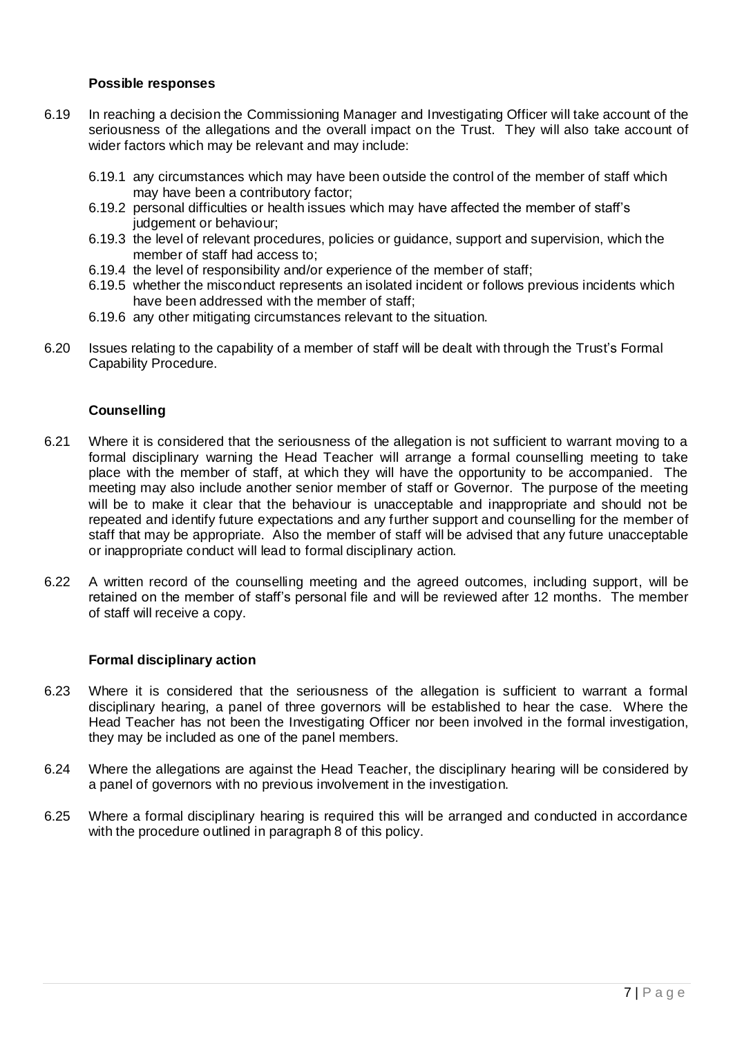#### **Possible responses**

- 6.19 In reaching a decision the Commissioning Manager and Investigating Officer will take account of the seriousness of the allegations and the overall impact on the Trust. They will also take account of wider factors which may be relevant and may include:
	- 6.19.1 any circumstances which may have been outside the control of the member of staff which may have been a contributory factor;
	- 6.19.2 personal difficulties or health issues which may have affected the member of staff's judgement or behaviour;
	- 6.19.3 the level of relevant procedures, policies or guidance, support and supervision, which the member of staff had access to;
	- 6.19.4 the level of responsibility and/or experience of the member of staff;
	- 6.19.5 whether the misconduct represents an isolated incident or follows previous incidents which have been addressed with the member of staff;
	- 6.19.6 any other mitigating circumstances relevant to the situation.
- 6.20 Issues relating to the capability of a member of staff will be dealt with through the Trust's Formal Capability Procedure.

## **Counselling**

- 6.21 Where it is considered that the seriousness of the allegation is not sufficient to warrant moving to a formal disciplinary warning the Head Teacher will arrange a formal counselling meeting to take place with the member of staff, at which they will have the opportunity to be accompanied. The meeting may also include another senior member of staff or Governor. The purpose of the meeting will be to make it clear that the behaviour is unacceptable and inappropriate and should not be repeated and identify future expectations and any further support and counselling for the member of staff that may be appropriate. Also the member of staff will be advised that any future unacceptable or inappropriate conduct will lead to formal disciplinary action.
- 6.22 A written record of the counselling meeting and the agreed outcomes, including support, will be retained on the member of staff's personal file and will be reviewed after 12 months. The member of staff will receive a copy.

## **Formal disciplinary action**

- 6.23 Where it is considered that the seriousness of the allegation is sufficient to warrant a formal disciplinary hearing, a panel of three governors will be established to hear the case. Where the Head Teacher has not been the Investigating Officer nor been involved in the formal investigation, they may be included as one of the panel members.
- 6.24 Where the allegations are against the Head Teacher, the disciplinary hearing will be considered by a panel of governors with no previous involvement in the investigation.
- 6.25 Where a formal disciplinary hearing is required this will be arranged and conducted in accordance with the procedure outlined in paragraph 8 of this policy.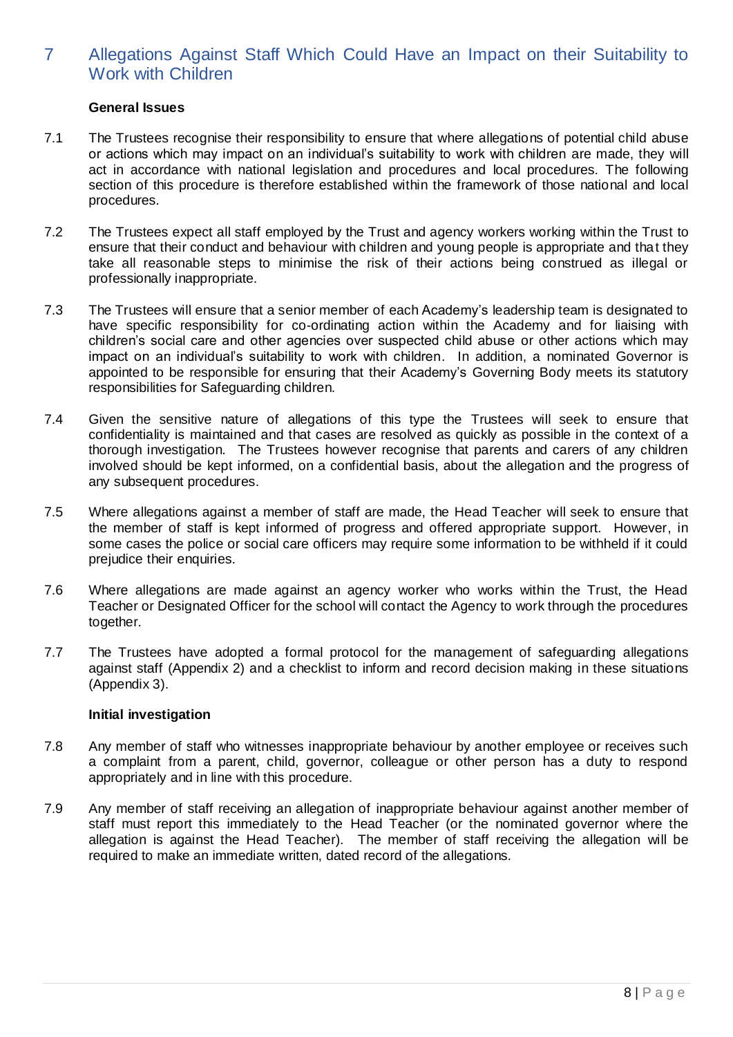## 7 Allegations Against Staff Which Could Have an Impact on their Suitability to Work with Children

## **General Issues**

- 7.1 The Trustees recognise their responsibility to ensure that where allegations of potential child abuse or actions which may impact on an individual's suitability to work with children are made, they will act in accordance with national legislation and procedures and local procedures. The following section of this procedure is therefore established within the framework of those national and local procedures.
- 7.2 The Trustees expect all staff employed by the Trust and agency workers working within the Trust to ensure that their conduct and behaviour with children and young people is appropriate and that they take all reasonable steps to minimise the risk of their actions being construed as illegal or professionally inappropriate.
- 7.3 The Trustees will ensure that a senior member of each Academy's leadership team is designated to have specific responsibility for co-ordinating action within the Academy and for liaising with children's social care and other agencies over suspected child abuse or other actions which may impact on an individual's suitability to work with children. In addition, a nominated Governor is appointed to be responsible for ensuring that their Academy's Governing Body meets its statutory responsibilities for Safeguarding children.
- 7.4 Given the sensitive nature of allegations of this type the Trustees will seek to ensure that confidentiality is maintained and that cases are resolved as quickly as possible in the context of a thorough investigation. The Trustees however recognise that parents and carers of any children involved should be kept informed, on a confidential basis, about the allegation and the progress of any subsequent procedures.
- 7.5 Where allegations against a member of staff are made, the Head Teacher will seek to ensure that the member of staff is kept informed of progress and offered appropriate support. However, in some cases the police or social care officers may require some information to be withheld if it could prejudice their enquiries.
- 7.6 Where allegations are made against an agency worker who works within the Trust, the Head Teacher or Designated Officer for the school will contact the Agency to work through the procedures together.
- 7.7 The Trustees have adopted a formal protocol for the management of safeguarding allegations against staff (Appendix 2) and a checklist to inform and record decision making in these situations (Appendix 3).

#### **Initial investigation**

- 7.8 Any member of staff who witnesses inappropriate behaviour by another employee or receives such a complaint from a parent, child, governor, colleague or other person has a duty to respond appropriately and in line with this procedure.
- 7.9 Any member of staff receiving an allegation of inappropriate behaviour against another member of staff must report this immediately to the Head Teacher (or the nominated governor where the allegation is against the Head Teacher). The member of staff receiving the allegation will be required to make an immediate written, dated record of the allegations.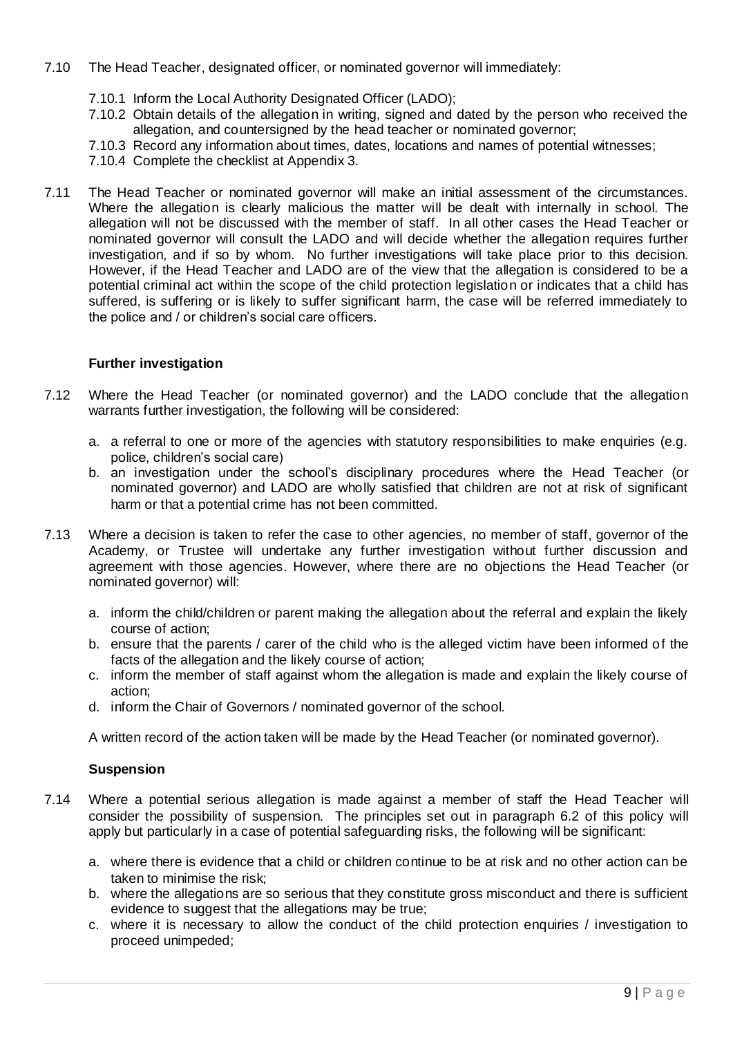- 7.10 The Head Teacher, designated officer, or nominated governor will immediately:
	- 7.10.1 Inform the Local Authority Designated Officer (LADO);
	- 7.10.2 Obtain details of the allegation in writing, signed and dated by the person who received the allegation, and countersigned by the head teacher or nominated governor;
	- 7.10.3 Record any information about times, dates, locations and names of potential witnesses;
	- 7.10.4 Complete the checklist at Appendix 3.
- 7.11 The Head Teacher or nominated governor will make an initial assessment of the circumstances. Where the allegation is clearly malicious the matter will be dealt with internally in school. The allegation will not be discussed with the member of staff. In all other cases the Head Teacher or nominated governor will consult the LADO and will decide whether the allegation requires further investigation, and if so by whom. No further investigations will take place prior to this decision. However, if the Head Teacher and LADO are of the view that the allegation is considered to be a potential criminal act within the scope of the child protection legislation or indicates that a child has suffered, is suffering or is likely to suffer significant harm, the case will be referred immediately to the police and / or children's social care officers.

## **Further investigation**

- 7.12 Where the Head Teacher (or nominated governor) and the LADO conclude that the allegation warrants further investigation, the following will be considered:
	- a. a referral to one or more of the agencies with statutory responsibilities to make enquiries (e.g. police, children's social care)
	- b. an investigation under the school's disciplinary procedures where the Head Teacher (or nominated governor) and LADO are wholly satisfied that children are not at risk of significant harm or that a potential crime has not been committed.
- 7.13 Where a decision is taken to refer the case to other agencies, no member of staff, governor of the Academy, or Trustee will undertake any further investigation without further discussion and agreement with those agencies. However, where there are no objections the Head Teacher (or nominated governor) will:
	- a. inform the child/children or parent making the allegation about the referral and explain the likely course of action;
	- b. ensure that the parents / carer of the child who is the alleged victim have been informed of the facts of the allegation and the likely course of action;
	- c. inform the member of staff against whom the allegation is made and explain the likely course of action;
	- d. inform the Chair of Governors / nominated governor of the school.

A written record of the action taken will be made by the Head Teacher (or nominated governor).

## **Suspension**

- 7.14 Where a potential serious allegation is made against a member of staff the Head Teacher will consider the possibility of suspension. The principles set out in paragraph 6.2 of this policy will apply but particularly in a case of potential safeguarding risks, the following will be significant:
	- a. where there is evidence that a child or children continue to be at risk and no other action can be taken to minimise the risk;
	- b. where the allegations are so serious that they constitute gross misconduct and there is sufficient evidence to suggest that the allegations may be true;
	- c. where it is necessary to allow the conduct of the child protection enquiries / investigation to proceed unimpeded;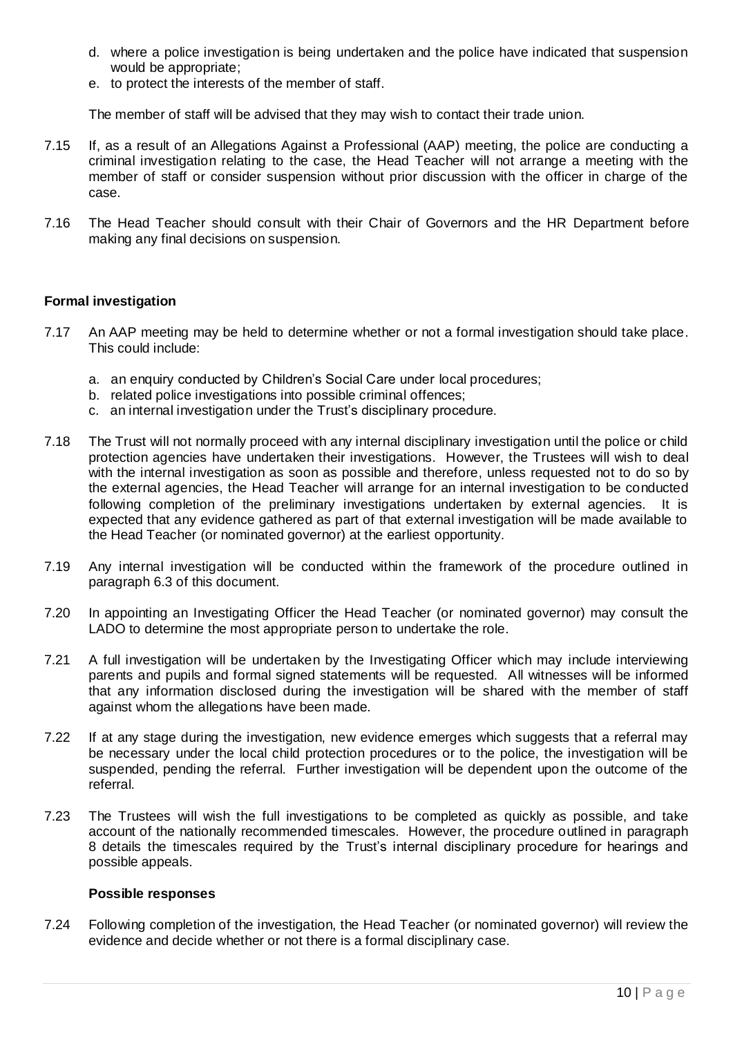- d. where a police investigation is being undertaken and the police have indicated that suspension would be appropriate;
- e. to protect the interests of the member of staff.

The member of staff will be advised that they may wish to contact their trade union.

- 7.15 If, as a result of an Allegations Against a Professional (AAP) meeting, the police are conducting a criminal investigation relating to the case, the Head Teacher will not arrange a meeting with the member of staff or consider suspension without prior discussion with the officer in charge of the case.
- 7.16 The Head Teacher should consult with their Chair of Governors and the HR Department before making any final decisions on suspension.

#### **Formal investigation**

- 7.17 An AAP meeting may be held to determine whether or not a formal investigation should take place. This could include:
	- a. an enquiry conducted by Children's Social Care under local procedures;
	- b. related police investigations into possible criminal offences;
	- c. an internal investigation under the Trust's disciplinary procedure.
- 7.18 The Trust will not normally proceed with any internal disciplinary investigation until the police or child protection agencies have undertaken their investigations. However, the Trustees will wish to deal with the internal investigation as soon as possible and therefore, unless requested not to do so by the external agencies, the Head Teacher will arrange for an internal investigation to be conducted following completion of the preliminary investigations undertaken by external agencies. It is expected that any evidence gathered as part of that external investigation will be made available to the Head Teacher (or nominated governor) at the earliest opportunity.
- 7.19 Any internal investigation will be conducted within the framework of the procedure outlined in paragraph 6.3 of this document.
- 7.20 In appointing an Investigating Officer the Head Teacher (or nominated governor) may consult the LADO to determine the most appropriate person to undertake the role.
- 7.21 A full investigation will be undertaken by the Investigating Officer which may include interviewing parents and pupils and formal signed statements will be requested. All witnesses will be informed that any information disclosed during the investigation will be shared with the member of staff against whom the allegations have been made.
- 7.22 If at any stage during the investigation, new evidence emerges which suggests that a referral may be necessary under the local child protection procedures or to the police, the investigation will be suspended, pending the referral. Further investigation will be dependent upon the outcome of the referral.
- 7.23 The Trustees will wish the full investigations to be completed as quickly as possible, and take account of the nationally recommended timescales. However, the procedure outlined in paragraph 8 details the timescales required by the Trust's internal disciplinary procedure for hearings and possible appeals.

#### **Possible responses**

7.24 Following completion of the investigation, the Head Teacher (or nominated governor) will review the evidence and decide whether or not there is a formal disciplinary case.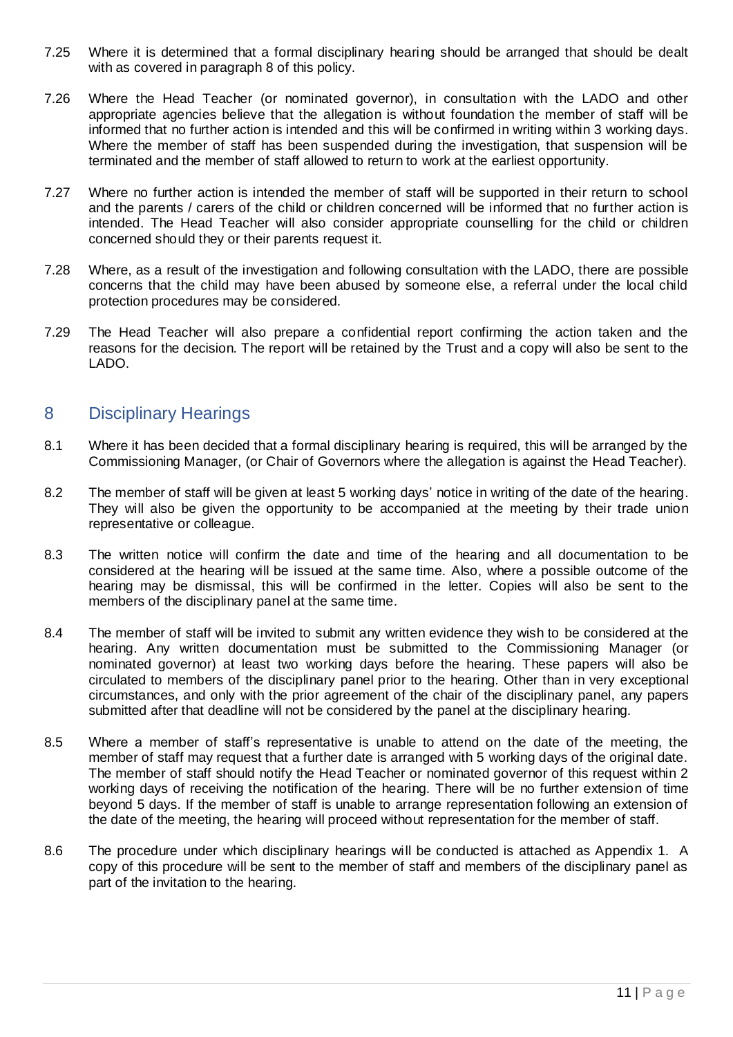- 7.25 Where it is determined that a formal disciplinary hearing should be arranged that should be dealt with as covered in paragraph 8 of this policy.
- 7.26 Where the Head Teacher (or nominated governor), in consultation with the LADO and other appropriate agencies believe that the allegation is without foundation the member of staff will be informed that no further action is intended and this will be confirmed in writing within 3 working days. Where the member of staff has been suspended during the investigation, that suspension will be terminated and the member of staff allowed to return to work at the earliest opportunity.
- 7.27 Where no further action is intended the member of staff will be supported in their return to school and the parents / carers of the child or children concerned will be informed that no further action is intended. The Head Teacher will also consider appropriate counselling for the child or children concerned should they or their parents request it.
- 7.28 Where, as a result of the investigation and following consultation with the LADO, there are possible concerns that the child may have been abused by someone else, a referral under the local child protection procedures may be considered.
- 7.29 The Head Teacher will also prepare a confidential report confirming the action taken and the reasons for the decision. The report will be retained by the Trust and a copy will also be sent to the LADO.

## 8 Disciplinary Hearings

- 8.1 Where it has been decided that a formal disciplinary hearing is required, this will be arranged by the Commissioning Manager, (or Chair of Governors where the allegation is against the Head Teacher).
- 8.2 The member of staff will be given at least 5 working days' notice in writing of the date of the hearing. They will also be given the opportunity to be accompanied at the meeting by their trade union representative or colleague.
- 8.3 The written notice will confirm the date and time of the hearing and all documentation to be considered at the hearing will be issued at the same time. Also, where a possible outcome of the hearing may be dismissal, this will be confirmed in the letter. Copies will also be sent to the members of the disciplinary panel at the same time.
- 8.4 The member of staff will be invited to submit any written evidence they wish to be considered at the hearing. Any written documentation must be submitted to the Commissioning Manager (or nominated governor) at least two working days before the hearing. These papers will also be circulated to members of the disciplinary panel prior to the hearing. Other than in very exceptional circumstances, and only with the prior agreement of the chair of the disciplinary panel, any papers submitted after that deadline will not be considered by the panel at the disciplinary hearing.
- 8.5 Where a member of staff's representative is unable to attend on the date of the meeting, the member of staff may request that a further date is arranged with 5 working days of the original date. The member of staff should notify the Head Teacher or nominated governor of this request within 2 working days of receiving the notification of the hearing. There will be no further extension of time beyond 5 days. If the member of staff is unable to arrange representation following an extension of the date of the meeting, the hearing will proceed without representation for the member of staff.
- 8.6 The procedure under which disciplinary hearings will be conducted is attached as Appendix 1. A copy of this procedure will be sent to the member of staff and members of the disciplinary panel as part of the invitation to the hearing.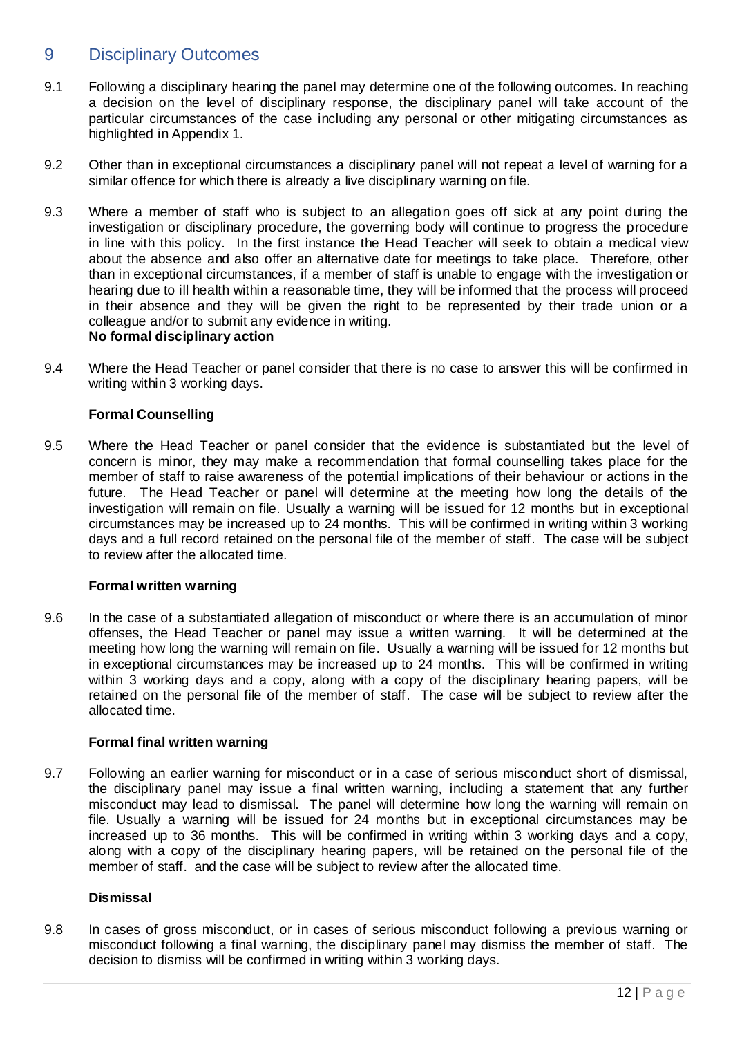## 9 Disciplinary Outcomes

- 9.1 Following a disciplinary hearing the panel may determine one of the following outcomes. In reaching a decision on the level of disciplinary response, the disciplinary panel will take account of the particular circumstances of the case including any personal or other mitigating circumstances as highlighted in Appendix 1.
- 9.2 Other than in exceptional circumstances a disciplinary panel will not repeat a level of warning for a similar offence for which there is already a live disciplinary warning on file.
- 9.3 Where a member of staff who is subject to an allegation goes off sick at any point during the investigation or disciplinary procedure, the governing body will continue to progress the procedure in line with this policy. In the first instance the Head Teacher will seek to obtain a medical view about the absence and also offer an alternative date for meetings to take place. Therefore, other than in exceptional circumstances, if a member of staff is unable to engage with the investigation or hearing due to ill health within a reasonable time, they will be informed that the process will proceed in their absence and they will be given the right to be represented by their trade union or a colleague and/or to submit any evidence in writing. **No formal disciplinary action**
- 9.4 Where the Head Teacher or panel consider that there is no case to answer this will be confirmed in writing within 3 working days.

## **Formal Counselling**

9.5 Where the Head Teacher or panel consider that the evidence is substantiated but the level of concern is minor, they may make a recommendation that formal counselling takes place for the member of staff to raise awareness of the potential implications of their behaviour or actions in the future. The Head Teacher or panel will determine at the meeting how long the details of the investigation will remain on file. Usually a warning will be issued for 12 months but in exceptional circumstances may be increased up to 24 months. This will be confirmed in writing within 3 working days and a full record retained on the personal file of the member of staff. The case will be subject to review after the allocated time.

#### **Formal written warning**

9.6 In the case of a substantiated allegation of misconduct or where there is an accumulation of minor offenses, the Head Teacher or panel may issue a written warning. It will be determined at the meeting how long the warning will remain on file. Usually a warning will be issued for 12 months but in exceptional circumstances may be increased up to 24 months. This will be confirmed in writing within 3 working days and a copy, along with a copy of the disciplinary hearing papers, will be retained on the personal file of the member of staff. The case will be subject to review after the allocated time.

#### **Formal final written warning**

9.7 Following an earlier warning for misconduct or in a case of serious misconduct short of dismissal, the disciplinary panel may issue a final written warning, including a statement that any further misconduct may lead to dismissal. The panel will determine how long the warning will remain on file. Usually a warning will be issued for 24 months but in exceptional circumstances may be increased up to 36 months. This will be confirmed in writing within 3 working days and a copy, along with a copy of the disciplinary hearing papers, will be retained on the personal file of the member of staff. and the case will be subject to review after the allocated time.

## **Dismissal**

9.8 In cases of gross misconduct, or in cases of serious misconduct following a previous warning or misconduct following a final warning, the disciplinary panel may dismiss the member of staff. The decision to dismiss will be confirmed in writing within 3 working days.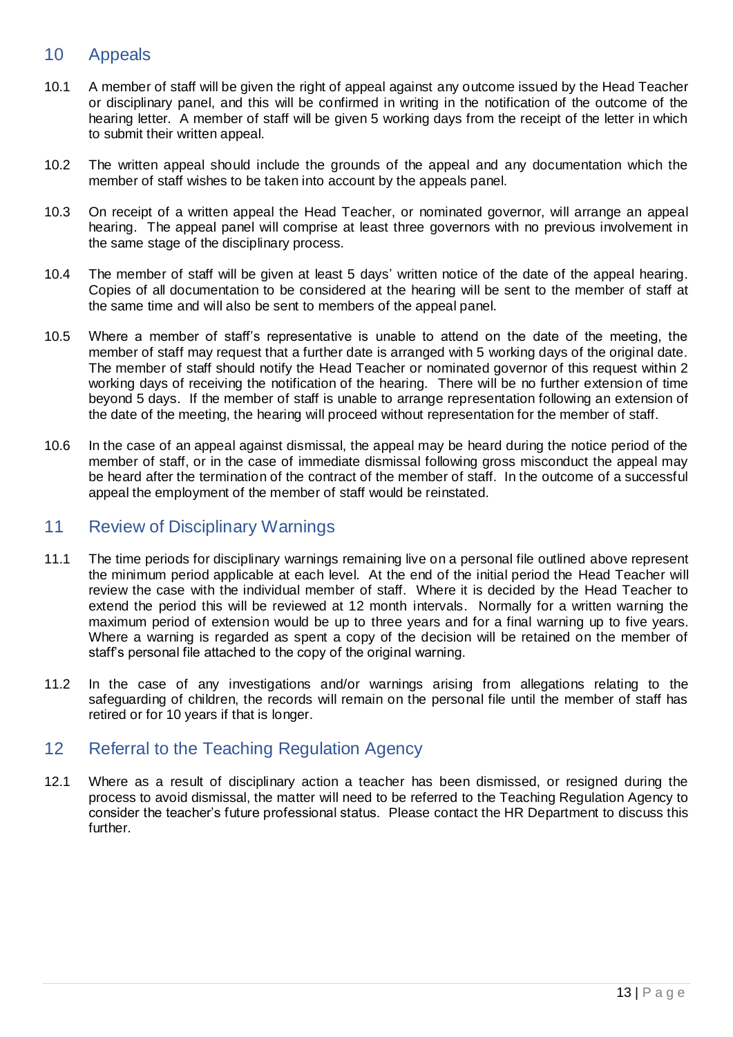## 10 Appeals

- 10.1 A member of staff will be given the right of appeal against any outcome issued by the Head Teacher or disciplinary panel, and this will be confirmed in writing in the notification of the outcome of the hearing letter. A member of staff will be given 5 working days from the receipt of the letter in which to submit their written appeal.
- 10.2 The written appeal should include the grounds of the appeal and any documentation which the member of staff wishes to be taken into account by the appeals panel.
- 10.3 On receipt of a written appeal the Head Teacher, or nominated governor, will arrange an appeal hearing. The appeal panel will comprise at least three governors with no previous involvement in the same stage of the disciplinary process.
- 10.4 The member of staff will be given at least 5 days' written notice of the date of the appeal hearing. Copies of all documentation to be considered at the hearing will be sent to the member of staff at the same time and will also be sent to members of the appeal panel.
- 10.5 Where a member of staff's representative is unable to attend on the date of the meeting, the member of staff may request that a further date is arranged with 5 working days of the original date. The member of staff should notify the Head Teacher or nominated governor of this request within 2 working days of receiving the notification of the hearing. There will be no further extension of time beyond 5 days. If the member of staff is unable to arrange representation following an extension of the date of the meeting, the hearing will proceed without representation for the member of staff.
- 10.6 In the case of an appeal against dismissal, the appeal may be heard during the notice period of the member of staff, or in the case of immediate dismissal following gross misconduct the appeal may be heard after the termination of the contract of the member of staff. In the outcome of a successful appeal the employment of the member of staff would be reinstated.

## 11 Review of Disciplinary Warnings

- 11.1 The time periods for disciplinary warnings remaining live on a personal file outlined above represent the minimum period applicable at each level. At the end of the initial period the Head Teacher will review the case with the individual member of staff. Where it is decided by the Head Teacher to extend the period this will be reviewed at 12 month intervals. Normally for a written warning the maximum period of extension would be up to three years and for a final warning up to five years. Where a warning is regarded as spent a copy of the decision will be retained on the member of staff's personal file attached to the copy of the original warning.
- 11.2 In the case of any investigations and/or warnings arising from allegations relating to the safeguarding of children, the records will remain on the personal file until the member of staff has retired or for 10 years if that is longer.

## 12 Referral to the Teaching Regulation Agency

12.1 Where as a result of disciplinary action a teacher has been dismissed, or resigned during the process to avoid dismissal, the matter will need to be referred to the Teaching Regulation Agency to consider the teacher's future professional status. Please contact the HR Department to discuss this further.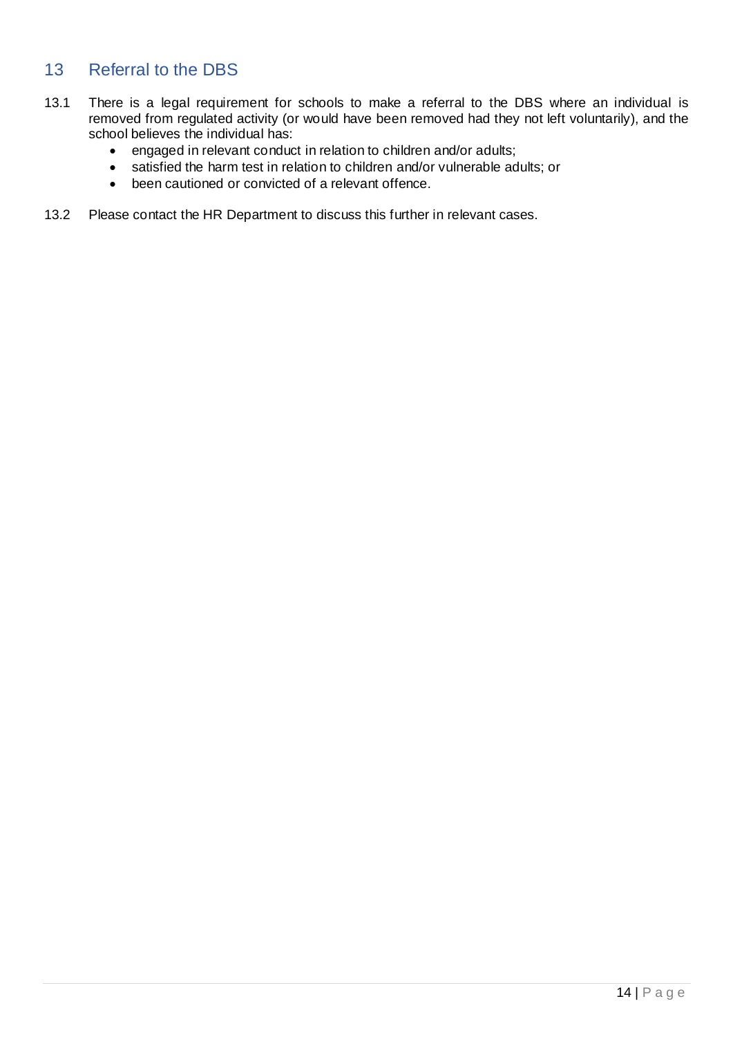## 13 Referral to the DBS

- 13.1 There is a legal requirement for schools to make a referral to the DBS where an individual is removed from regulated activity (or would have been removed had they not left voluntarily), and the school believes the individual has:
	- engaged in relevant conduct in relation to children and/or adults;
	- satisfied the harm test in relation to children and/or vulnerable adults; or
	- been cautioned or convicted of a relevant offence.
- 13.2 Please contact the HR Department to discuss this further in relevant cases.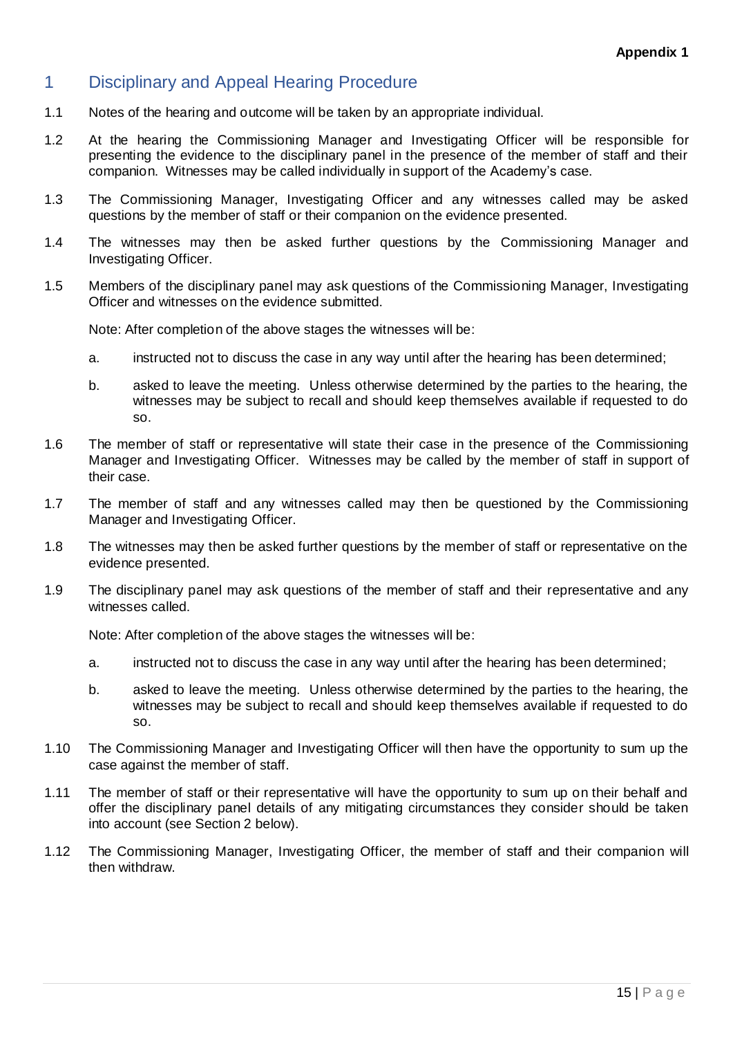## 1 Disciplinary and Appeal Hearing Procedure

- 1.1 Notes of the hearing and outcome will be taken by an appropriate individual.
- 1.2 At the hearing the Commissioning Manager and Investigating Officer will be responsible for presenting the evidence to the disciplinary panel in the presence of the member of staff and their companion. Witnesses may be called individually in support of the Academy's case.
- 1.3 The Commissioning Manager, Investigating Officer and any witnesses called may be asked questions by the member of staff or their companion on the evidence presented.
- 1.4 The witnesses may then be asked further questions by the Commissioning Manager and Investigating Officer.
- 1.5 Members of the disciplinary panel may ask questions of the Commissioning Manager, Investigating Officer and witnesses on the evidence submitted.

Note: After completion of the above stages the witnesses will be:

- a. instructed not to discuss the case in any way until after the hearing has been determined;
- b. asked to leave the meeting. Unless otherwise determined by the parties to the hearing, the witnesses may be subject to recall and should keep themselves available if requested to do so.
- 1.6 The member of staff or representative will state their case in the presence of the Commissioning Manager and Investigating Officer. Witnesses may be called by the member of staff in support of their case.
- 1.7 The member of staff and any witnesses called may then be questioned by the Commissioning Manager and Investigating Officer.
- 1.8 The witnesses may then be asked further questions by the member of staff or representative on the evidence presented.
- 1.9 The disciplinary panel may ask questions of the member of staff and their representative and any witnesses called.

Note: After completion of the above stages the witnesses will be:

- a. instructed not to discuss the case in any way until after the hearing has been determined;
- b. asked to leave the meeting. Unless otherwise determined by the parties to the hearing, the witnesses may be subject to recall and should keep themselves available if requested to do so.
- 1.10 The Commissioning Manager and Investigating Officer will then have the opportunity to sum up the case against the member of staff.
- 1.11 The member of staff or their representative will have the opportunity to sum up on their behalf and offer the disciplinary panel details of any mitigating circumstances they consider should be taken into account (see Section 2 below).
- 1.12 The Commissioning Manager, Investigating Officer, the member of staff and their companion will then withdraw.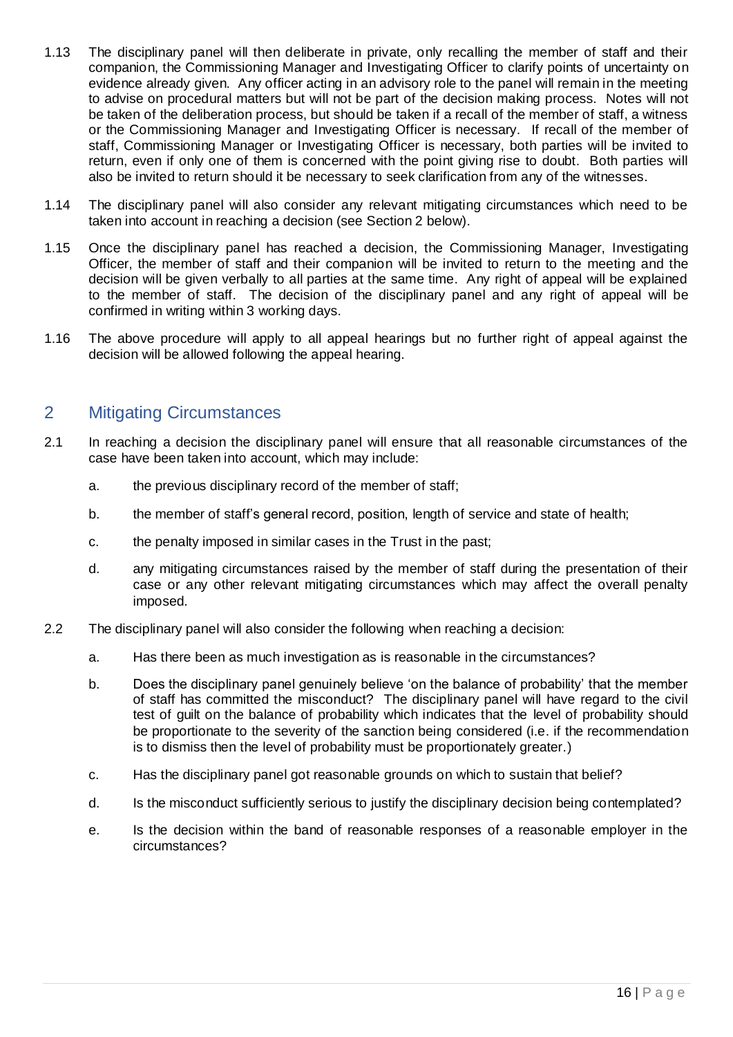- 1.13 The disciplinary panel will then deliberate in private, only recalling the member of staff and their companion, the Commissioning Manager and Investigating Officer to clarify points of uncertainty on evidence already given. Any officer acting in an advisory role to the panel will remain in the meeting to advise on procedural matters but will not be part of the decision making process. Notes will not be taken of the deliberation process, but should be taken if a recall of the member of staff, a witness or the Commissioning Manager and Investigating Officer is necessary. If recall of the member of staff, Commissioning Manager or Investigating Officer is necessary, both parties will be invited to return, even if only one of them is concerned with the point giving rise to doubt. Both parties will also be invited to return should it be necessary to seek clarification from any of the witnesses.
- 1.14 The disciplinary panel will also consider any relevant mitigating circumstances which need to be taken into account in reaching a decision (see Section 2 below).
- 1.15 Once the disciplinary panel has reached a decision, the Commissioning Manager, Investigating Officer, the member of staff and their companion will be invited to return to the meeting and the decision will be given verbally to all parties at the same time. Any right of appeal will be explained to the member of staff. The decision of the disciplinary panel and any right of appeal will be confirmed in writing within 3 working days.
- 1.16 The above procedure will apply to all appeal hearings but no further right of appeal against the decision will be allowed following the appeal hearing.

## 2 Mitigating Circumstances

- 2.1 In reaching a decision the disciplinary panel will ensure that all reasonable circumstances of the case have been taken into account, which may include:
	- a. the previous disciplinary record of the member of staff;
	- b. the member of staff's general record, position, length of service and state of health;
	- c. the penalty imposed in similar cases in the Trust in the past;
	- d. any mitigating circumstances raised by the member of staff during the presentation of their case or any other relevant mitigating circumstances which may affect the overall penalty imposed.
- 2.2 The disciplinary panel will also consider the following when reaching a decision:
	- a. Has there been as much investigation as is reasonable in the circumstances?
	- b. Does the disciplinary panel genuinely believe 'on the balance of probability' that the member of staff has committed the misconduct? The disciplinary panel will have regard to the civil test of guilt on the balance of probability which indicates that the level of probability should be proportionate to the severity of the sanction being considered (i.e. if the recommendation is to dismiss then the level of probability must be proportionately greater.)
	- c. Has the disciplinary panel got reasonable grounds on which to sustain that belief?
	- d. Is the misconduct sufficiently serious to justify the disciplinary decision being contemplated?
	- e. Is the decision within the band of reasonable responses of a reasonable employer in the circumstances?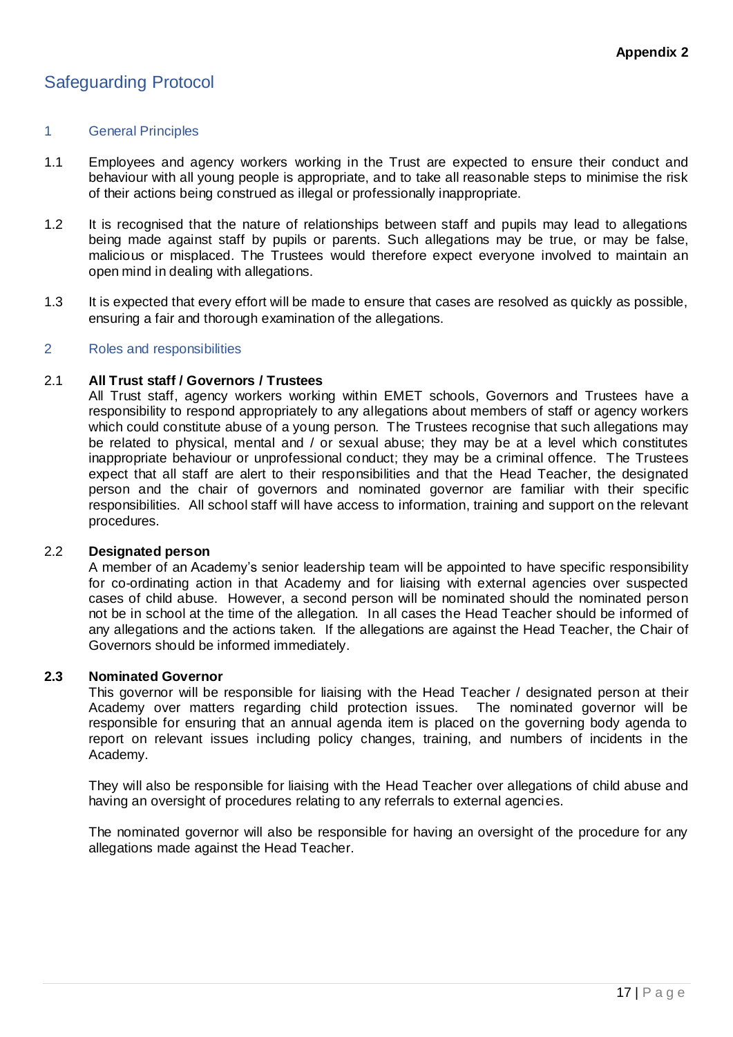## Safeguarding Protocol

#### 1 General Principles

- 1.1 Employees and agency workers working in the Trust are expected to ensure their conduct and behaviour with all young people is appropriate, and to take all reasonable steps to minimise the risk of their actions being construed as illegal or professionally inappropriate.
- 1.2 It is recognised that the nature of relationships between staff and pupils may lead to allegations being made against staff by pupils or parents. Such allegations may be true, or may be false, malicious or misplaced. The Trustees would therefore expect everyone involved to maintain an open mind in dealing with allegations.
- 1.3 It is expected that every effort will be made to ensure that cases are resolved as quickly as possible, ensuring a fair and thorough examination of the allegations.

#### 2 Roles and responsibilities

#### 2.1 **All Trust staff / Governors / Trustees**

All Trust staff, agency workers working within EMET schools, Governors and Trustees have a responsibility to respond appropriately to any allegations about members of staff or agency workers which could constitute abuse of a young person. The Trustees recognise that such allegations may be related to physical, mental and / or sexual abuse; they may be at a level which constitutes inappropriate behaviour or unprofessional conduct; they may be a criminal offence. The Trustees expect that all staff are alert to their responsibilities and that the Head Teacher, the designated person and the chair of governors and nominated governor are familiar with their specific responsibilities. All school staff will have access to information, training and support on the relevant procedures.

#### 2.2 **Designated person**

A member of an Academy's senior leadership team will be appointed to have specific responsibility for co-ordinating action in that Academy and for liaising with external agencies over suspected cases of child abuse. However, a second person will be nominated should the nominated person not be in school at the time of the allegation. In all cases the Head Teacher should be informed of any allegations and the actions taken. If the allegations are against the Head Teacher, the Chair of Governors should be informed immediately.

#### **2.3 Nominated Governor**

This governor will be responsible for liaising with the Head Teacher / designated person at their Academy over matters regarding child protection issues. The nominated governor will be responsible for ensuring that an annual agenda item is placed on the governing body agenda to report on relevant issues including policy changes, training, and numbers of incidents in the Academy.

They will also be responsible for liaising with the Head Teacher over allegations of child abuse and having an oversight of procedures relating to any referrals to external agencies.

The nominated governor will also be responsible for having an oversight of the procedure for any allegations made against the Head Teacher.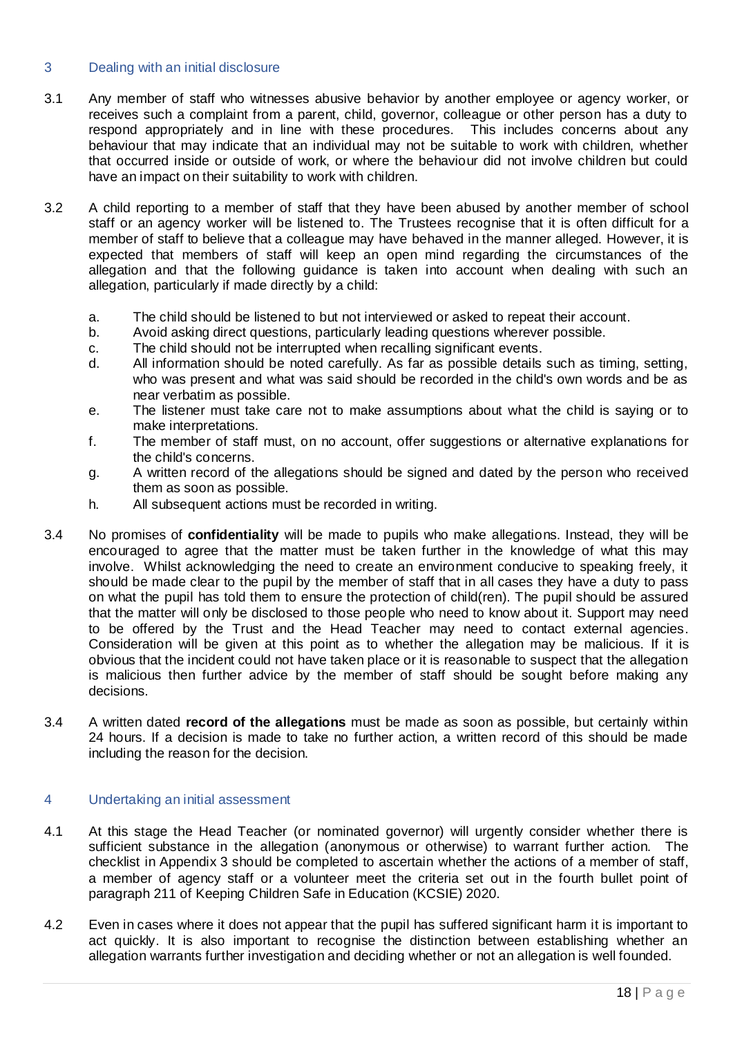## 3 Dealing with an initial disclosure

- 3.1 Any member of staff who witnesses abusive behavior by another employee or agency worker, or receives such a complaint from a parent, child, governor, colleague or other person has a duty to respond appropriately and in line with these procedures. This includes concerns about any behaviour that may indicate that an individual may not be suitable to work with children, whether that occurred inside or outside of work, or where the behaviour did not involve children but could have an impact on their suitability to work with children.
- 3.2 A child reporting to a member of staff that they have been abused by another member of school staff or an agency worker will be listened to. The Trustees recognise that it is often difficult for a member of staff to believe that a colleague may have behaved in the manner alleged. However, it is expected that members of staff will keep an open mind regarding the circumstances of the allegation and that the following guidance is taken into account when dealing with such an allegation, particularly if made directly by a child:
	- a. The child should be listened to but not interviewed or asked to repeat their account.
	- b. Avoid asking direct questions, particularly leading questions wherever possible.
	- c. The child should not be interrupted when recalling significant events.
	- d. All information should be noted carefully. As far as possible details such as timing, setting, who was present and what was said should be recorded in the child's own words and be as near verbatim as possible.
	- e. The listener must take care not to make assumptions about what the child is saying or to make interpretations.
	- f. The member of staff must, on no account, offer suggestions or alternative explanations for the child's concerns.
	- g. A written record of the allegations should be signed and dated by the person who received them as soon as possible.
	- h. All subsequent actions must be recorded in writing.
- 3.4 No promises of **confidentiality** will be made to pupils who make allegations. Instead, they will be encouraged to agree that the matter must be taken further in the knowledge of what this may involve. Whilst acknowledging the need to create an environment conducive to speaking freely, it should be made clear to the pupil by the member of staff that in all cases they have a duty to pass on what the pupil has told them to ensure the protection of child(ren). The pupil should be assured that the matter will only be disclosed to those people who need to know about it. Support may need to be offered by the Trust and the Head Teacher may need to contact external agencies. Consideration will be given at this point as to whether the allegation may be malicious. If it is obvious that the incident could not have taken place or it is reasonable to suspect that the allegation is malicious then further advice by the member of staff should be sought before making any decisions.
- 3.4 A written dated **record of the allegations** must be made as soon as possible, but certainly within 24 hours. If a decision is made to take no further action, a written record of this should be made including the reason for the decision.

## 4 Undertaking an initial assessment

- 4.1 At this stage the Head Teacher (or nominated governor) will urgently consider whether there is sufficient substance in the allegation (anonymous or otherwise) to warrant further action. The checklist in Appendix 3 should be completed to ascertain whether the actions of a member of staff, a member of agency staff or a volunteer meet the criteria set out in the fourth bullet point of paragraph 211 of Keeping Children Safe in Education (KCSIE) 2020.
- 4.2 Even in cases where it does not appear that the pupil has suffered significant harm it is important to act quickly. It is also important to recognise the distinction between establishing whether an allegation warrants further investigation and deciding whether or not an allegation is well founded.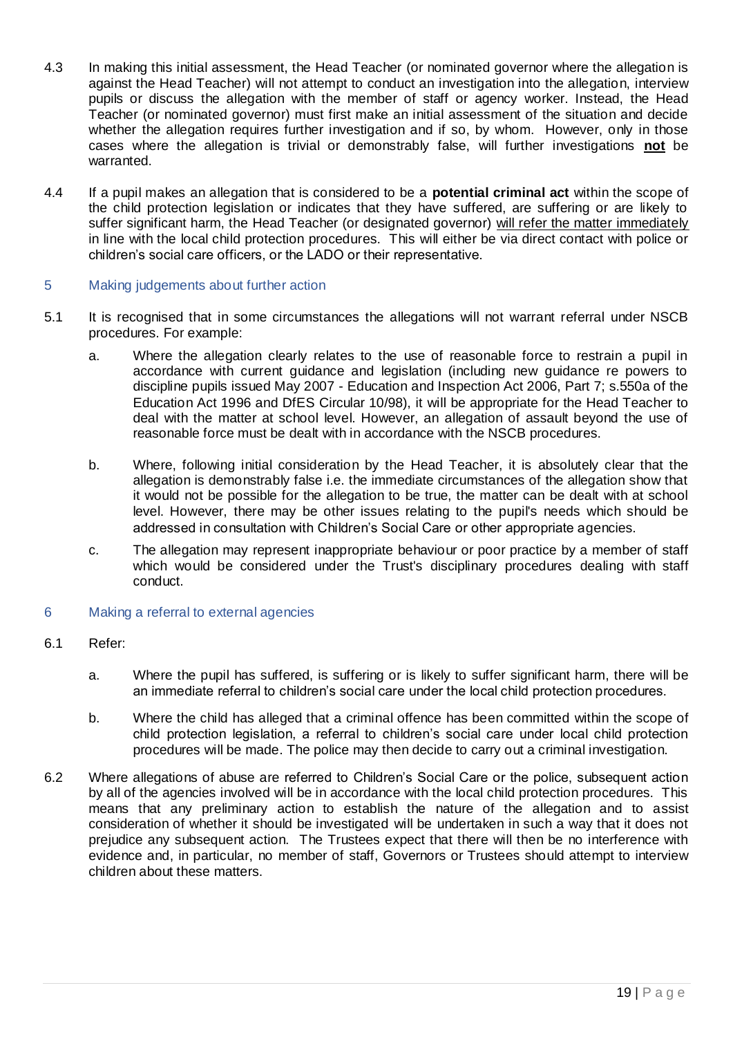- 4.3 In making this initial assessment, the Head Teacher (or nominated governor where the allegation is against the Head Teacher) will not attempt to conduct an investigation into the allegation, interview pupils or discuss the allegation with the member of staff or agency worker. Instead, the Head Teacher (or nominated governor) must first make an initial assessment of the situation and decide whether the allegation requires further investigation and if so, by whom. However, only in those cases where the allegation is trivial or demonstrably false, will further investigations **not** be warranted.
- 4.4 If a pupil makes an allegation that is considered to be a **potential criminal act** within the scope of the child protection legislation or indicates that they have suffered, are suffering or are likely to suffer significant harm, the Head Teacher (or designated governor) will refer the matter immediately in line with the local child protection procedures. This will either be via direct contact with police or children's social care officers, or the LADO or their representative.

#### 5 Making judgements about further action

- 5.1 It is recognised that in some circumstances the allegations will not warrant referral under NSCB procedures. For example:
	- a. Where the allegation clearly relates to the use of reasonable force to restrain a pupil in accordance with current guidance and legislation (including new guidance re powers to discipline pupils issued May 2007 - Education and Inspection Act 2006, Part 7; s.550a of the Education Act 1996 and DfES Circular 10/98), it will be appropriate for the Head Teacher to deal with the matter at school level. However, an allegation of assault beyond the use of reasonable force must be dealt with in accordance with the NSCB procedures.
	- b. Where, following initial consideration by the Head Teacher, it is absolutely clear that the allegation is demonstrably false i.e. the immediate circumstances of the allegation show that it would not be possible for the allegation to be true, the matter can be dealt with at school level. However, there may be other issues relating to the pupil's needs which should be addressed in consultation with Children's Social Care or other appropriate agencies.
	- c. The allegation may represent inappropriate behaviour or poor practice by a member of staff which would be considered under the Trust's disciplinary procedures dealing with staff conduct.

## 6 Making a referral to external agencies

## 6.1 Refer:

- a. Where the pupil has suffered, is suffering or is likely to suffer significant harm, there will be an immediate referral to children's social care under the local child protection procedures.
- b. Where the child has alleged that a criminal offence has been committed within the scope of child protection legislation, a referral to children's social care under local child protection procedures will be made. The police may then decide to carry out a criminal investigation.
- 6.2 Where allegations of abuse are referred to Children's Social Care or the police, subsequent action by all of the agencies involved will be in accordance with the local child protection procedures. This means that any preliminary action to establish the nature of the allegation and to assist consideration of whether it should be investigated will be undertaken in such a way that it does not prejudice any subsequent action. The Trustees expect that there will then be no interference with evidence and, in particular, no member of staff, Governors or Trustees should attempt to interview children about these matters.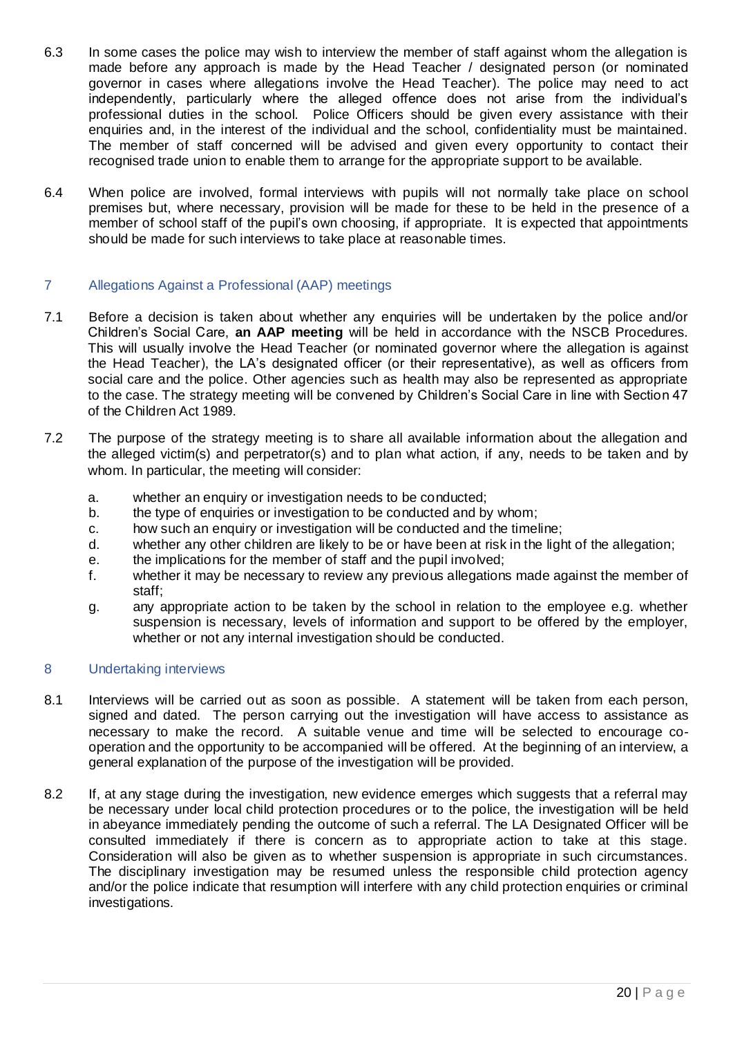- 6.3 In some cases the police may wish to interview the member of staff against whom the allegation is made before any approach is made by the Head Teacher / designated person (or nominated governor in cases where allegations involve the Head Teacher). The police may need to act independently, particularly where the alleged offence does not arise from the individual's professional duties in the school. Police Officers should be given every assistance with their enquiries and, in the interest of the individual and the school, confidentiality must be maintained. The member of staff concerned will be advised and given every opportunity to contact their recognised trade union to enable them to arrange for the appropriate support to be available.
- 6.4 When police are involved, formal interviews with pupils will not normally take place on school premises but, where necessary, provision will be made for these to be held in the presence of a member of school staff of the pupil's own choosing, if appropriate. It is expected that appointments should be made for such interviews to take place at reasonable times.

## 7 Allegations Against a Professional (AAP) meetings

- 7.1 Before a decision is taken about whether any enquiries will be undertaken by the police and/or Children's Social Care, **an AAP meeting** will be held in accordance with the NSCB Procedures. This will usually involve the Head Teacher (or nominated governor where the allegation is against the Head Teacher), the LA's designated officer (or their representative), as well as officers from social care and the police. Other agencies such as health may also be represented as appropriate to the case. The strategy meeting will be convened by Children's Social Care in line with Section 47 of the Children Act 1989.
- 7.2 The purpose of the strategy meeting is to share all available information about the allegation and the alleged victim(s) and perpetrator(s) and to plan what action, if any, needs to be taken and by whom. In particular, the meeting will consider:
	- a. whether an enquiry or investigation needs to be conducted;
	- b. the type of enquiries or investigation to be conducted and by whom;
	- c. how such an enquiry or investigation will be conducted and the timeline;
	- d. whether any other children are likely to be or have been at risk in the light of the allegation;
	- e. the implications for the member of staff and the pupil involved;
	- f. whether it may be necessary to review any previous allegations made against the member of staff;
	- g. any appropriate action to be taken by the school in relation to the employee e.g. whether suspension is necessary, levels of information and support to be offered by the employer, whether or not any internal investigation should be conducted.

## 8 Undertaking interviews

- 8.1 Interviews will be carried out as soon as possible. A statement will be taken from each person, signed and dated. The person carrying out the investigation will have access to assistance as necessary to make the record. A suitable venue and time will be selected to encourage cooperation and the opportunity to be accompanied will be offered. At the beginning of an interview, a general explanation of the purpose of the investigation will be provided.
- 8.2 If, at any stage during the investigation, new evidence emerges which suggests that a referral may be necessary under local child protection procedures or to the police, the investigation will be held in abeyance immediately pending the outcome of such a referral. The LA Designated Officer will be consulted immediately if there is concern as to appropriate action to take at this stage. Consideration will also be given as to whether suspension is appropriate in such circumstances. The disciplinary investigation may be resumed unless the responsible child protection agency and/or the police indicate that resumption will interfere with any child protection enquiries or criminal investigations.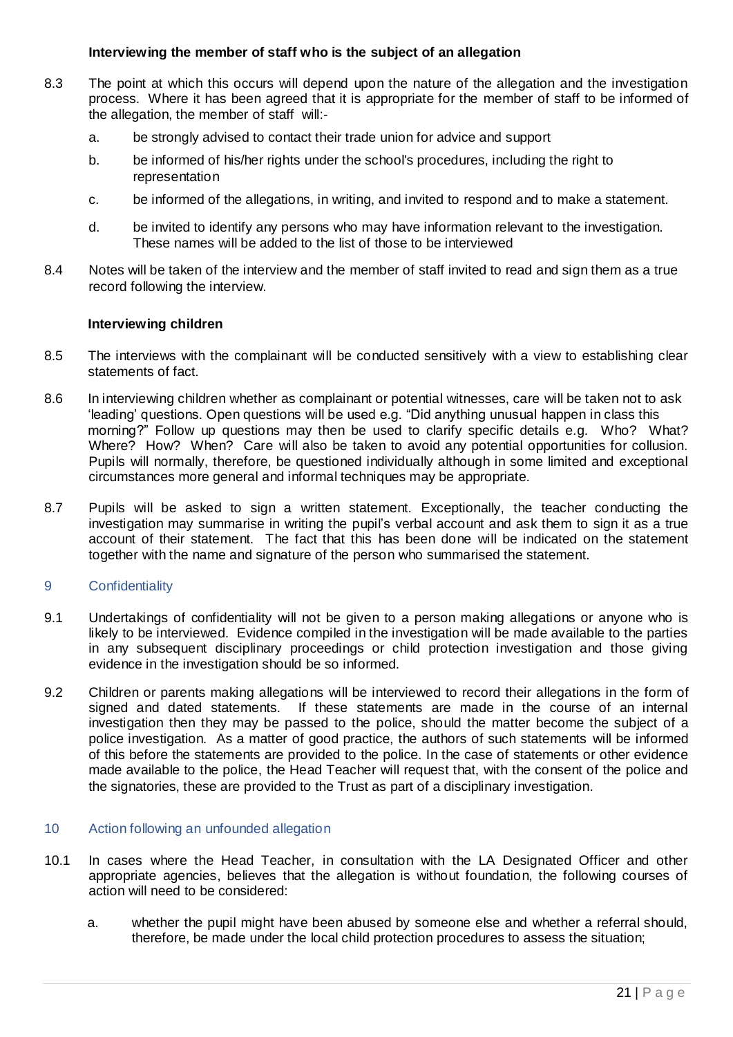## **Interviewing the member of staff who is the subject of an allegation**

- 8.3 The point at which this occurs will depend upon the nature of the allegation and the investigation process. Where it has been agreed that it is appropriate for the member of staff to be informed of the allegation, the member of staff will:
	- a. be strongly advised to contact their trade union for advice and support
	- b. be informed of his/her rights under the school's procedures, including the right to representation
	- c. be informed of the allegations, in writing, and invited to respond and to make a statement.
	- d. be invited to identify any persons who may have information relevant to the investigation. These names will be added to the list of those to be interviewed
- 8.4 Notes will be taken of the interview and the member of staff invited to read and sign them as a true record following the interview.

#### **Interviewing children**

- 8.5 The interviews with the complainant will be conducted sensitively with a view to establishing clear statements of fact.
- 8.6 In interviewing children whether as complainant or potential witnesses, care will be taken not to ask 'leading' questions. Open questions will be used e.g. "Did anything unusual happen in class this morning?" Follow up questions may then be used to clarify specific details e.g. Who? What? Where? How? When? Care will also be taken to avoid any potential opportunities for collusion. Pupils will normally, therefore, be questioned individually although in some limited and exceptional circumstances more general and informal techniques may be appropriate.
- 8.7 Pupils will be asked to sign a written statement. Exceptionally, the teacher conducting the investigation may summarise in writing the pupil's verbal account and ask them to sign it as a true account of their statement. The fact that this has been done will be indicated on the statement together with the name and signature of the person who summarised the statement.

#### 9 Confidentiality

- 9.1 Undertakings of confidentiality will not be given to a person making allegations or anyone who is likely to be interviewed. Evidence compiled in the investigation will be made available to the parties in any subsequent disciplinary proceedings or child protection investigation and those giving evidence in the investigation should be so informed.
- 9.2 Children or parents making allegations will be interviewed to record their allegations in the form of signed and dated statements. If these statements are made in the course of an internal investigation then they may be passed to the police, should the matter become the subject of a police investigation. As a matter of good practice, the authors of such statements will be informed of this before the statements are provided to the police. In the case of statements or other evidence made available to the police, the Head Teacher will request that, with the consent of the police and the signatories, these are provided to the Trust as part of a disciplinary investigation.

#### 10 Action following an unfounded allegation

- 10.1 In cases where the Head Teacher, in consultation with the LA Designated Officer and other appropriate agencies, believes that the allegation is without foundation, the following courses of action will need to be considered:
	- a. whether the pupil might have been abused by someone else and whether a referral should, therefore, be made under the local child protection procedures to assess the situation;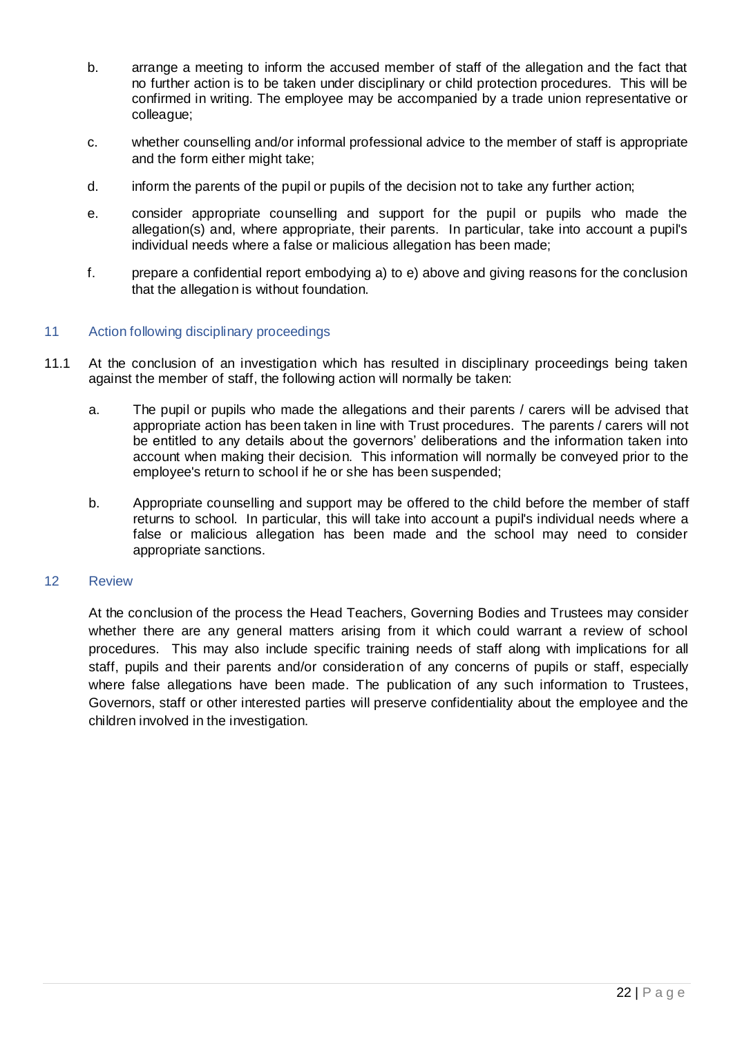- b. arrange a meeting to inform the accused member of staff of the allegation and the fact that no further action is to be taken under disciplinary or child protection procedures. This will be confirmed in writing. The employee may be accompanied by a trade union representative or colleague;
- c. whether counselling and/or informal professional advice to the member of staff is appropriate and the form either might take;
- d. inform the parents of the pupil or pupils of the decision not to take any further action;
- e. consider appropriate counselling and support for the pupil or pupils who made the allegation(s) and, where appropriate, their parents. In particular, take into account a pupil's individual needs where a false or malicious allegation has been made;
- f. prepare a confidential report embodying a) to e) above and giving reasons for the conclusion that the allegation is without foundation.

## 11 Action following disciplinary proceedings

- 11.1 At the conclusion of an investigation which has resulted in disciplinary proceedings being taken against the member of staff, the following action will normally be taken:
	- a. The pupil or pupils who made the allegations and their parents / carers will be advised that appropriate action has been taken in line with Trust procedures. The parents / carers will not be entitled to any details about the governors' deliberations and the information taken into account when making their decision. This information will normally be conveyed prior to the employee's return to school if he or she has been suspended;
	- b. Appropriate counselling and support may be offered to the child before the member of staff returns to school. In particular, this will take into account a pupil's individual needs where a false or malicious allegation has been made and the school may need to consider appropriate sanctions.

#### 12 Review

At the conclusion of the process the Head Teachers, Governing Bodies and Trustees may consider whether there are any general matters arising from it which could warrant a review of school procedures. This may also include specific training needs of staff along with implications for all staff, pupils and their parents and/or consideration of any concerns of pupils or staff, especially where false allegations have been made. The publication of any such information to Trustees, Governors, staff or other interested parties will preserve confidentiality about the employee and the children involved in the investigation.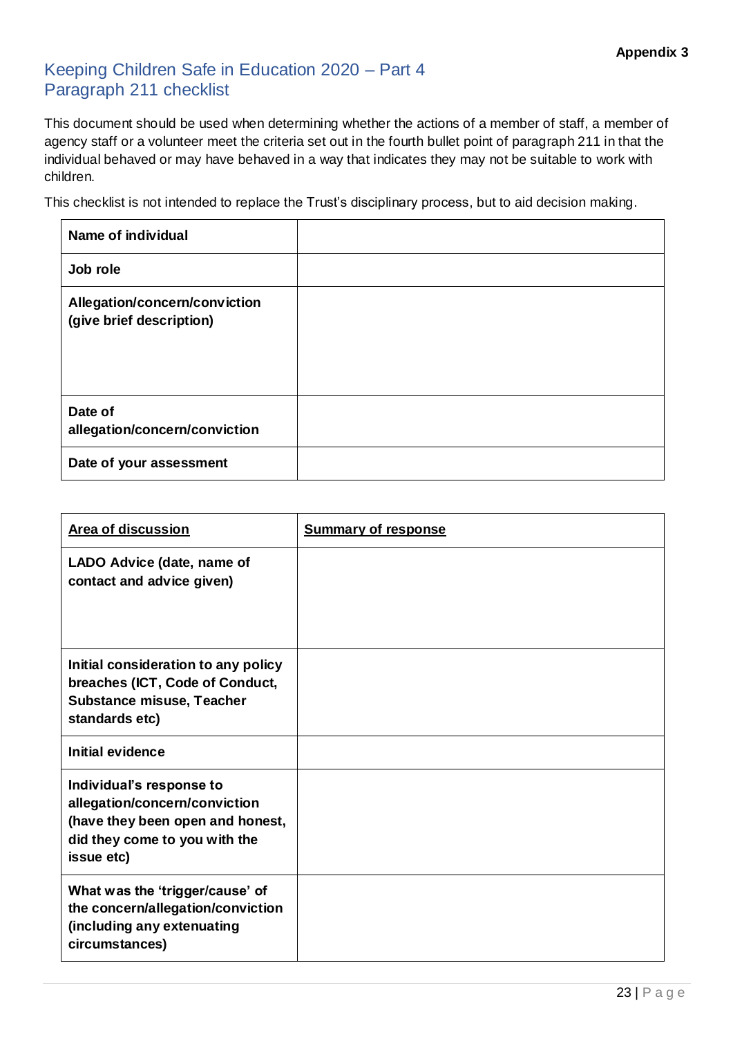## Keeping Children Safe in Education 2020 – Part 4 Paragraph 211 checklist

This document should be used when determining whether the actions of a member of staff, a member of agency staff or a volunteer meet the criteria set out in the fourth bullet point of paragraph 211 in that the individual behaved or may have behaved in a way that indicates they may not be suitable to work with children.

This checklist is not intended to replace the Trust's disciplinary process, but to aid decision making.

| Name of individual                                        |  |
|-----------------------------------------------------------|--|
| Job role                                                  |  |
| Allegation/concern/conviction<br>(give brief description) |  |
| Date of<br>allegation/concern/conviction                  |  |
| Date of your assessment                                   |  |

| <b>Area of discussion</b>                                                                                                                    | <b>Summary of response</b> |
|----------------------------------------------------------------------------------------------------------------------------------------------|----------------------------|
| LADO Advice (date, name of<br>contact and advice given)                                                                                      |                            |
| Initial consideration to any policy<br>breaches (ICT, Code of Conduct,<br><b>Substance misuse, Teacher</b><br>standards etc)                 |                            |
| <b>Initial evidence</b>                                                                                                                      |                            |
| Individual's response to<br>allegation/concern/conviction<br>(have they been open and honest,<br>did they come to you with the<br>issue etc) |                            |
| What was the 'trigger/cause' of<br>the concern/allegation/conviction<br>(including any extenuating<br>circumstances)                         |                            |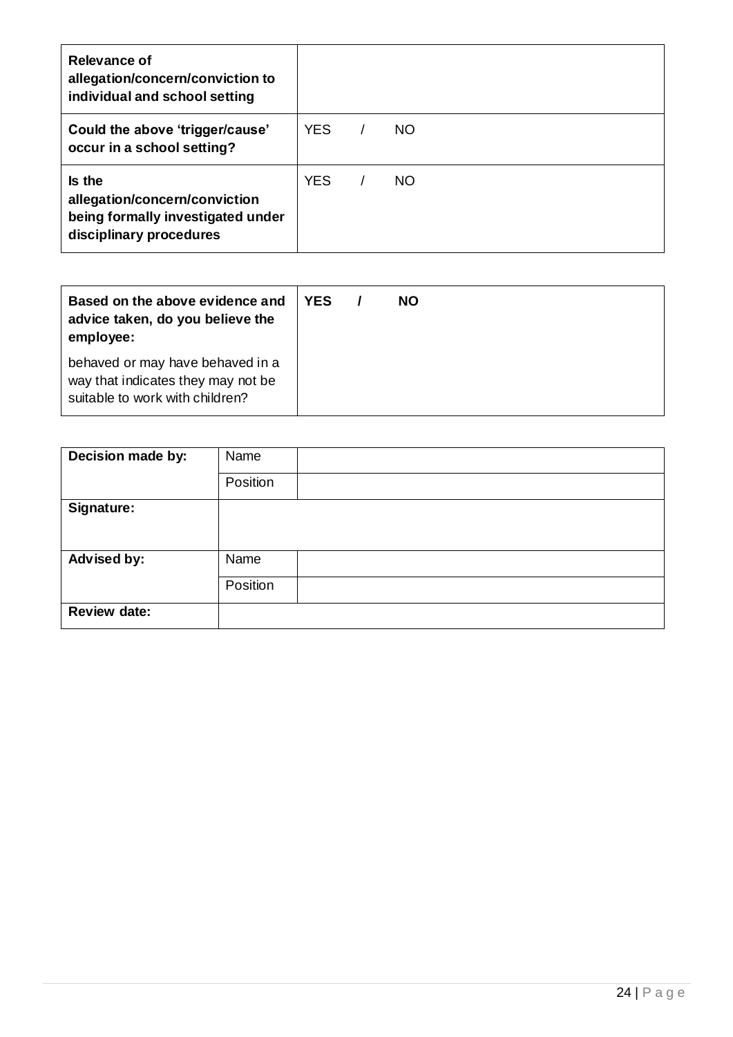| Relevance of<br>allegation/concern/conviction to<br>individual and school setting                       |            |    |  |
|---------------------------------------------------------------------------------------------------------|------------|----|--|
| Could the above 'trigger/cause'<br>occur in a school setting?                                           | <b>YES</b> | NO |  |
| Is the<br>allegation/concern/conviction<br>being formally investigated under<br>disciplinary procedures | <b>YES</b> | NO |  |

| Based on the above evidence and<br>advice taken, do you believe the<br>employee:                          | <b>YES</b> | <b>NO</b> |  |
|-----------------------------------------------------------------------------------------------------------|------------|-----------|--|
| behaved or may have behaved in a<br>way that indicates they may not be<br>suitable to work with children? |            |           |  |

| Decision made by:   | Name     |
|---------------------|----------|
|                     | Position |
| Signature:          |          |
|                     |          |
| Advised by:         | Name     |
|                     | Position |
| <b>Review date:</b> |          |